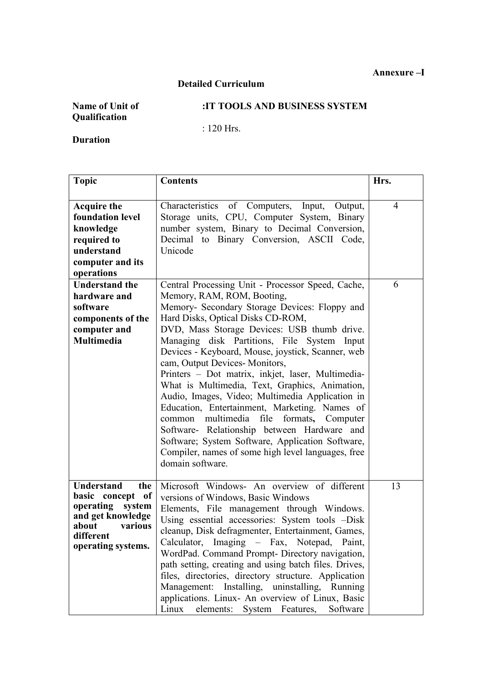## **Detailed Curriculum**

## **:IT TOOLS AND BUSINESS SYSTEM**

: 120 Hrs.

**Duration**

| <b>Topic</b>                                                                                                                                    | <b>Contents</b>                                                                                                                                                                                                                                                                                                                                                                                                                                                                                                                                                                                                                                                                                                                                                                                        | Hrs.           |
|-------------------------------------------------------------------------------------------------------------------------------------------------|--------------------------------------------------------------------------------------------------------------------------------------------------------------------------------------------------------------------------------------------------------------------------------------------------------------------------------------------------------------------------------------------------------------------------------------------------------------------------------------------------------------------------------------------------------------------------------------------------------------------------------------------------------------------------------------------------------------------------------------------------------------------------------------------------------|----------------|
| <b>Acquire the</b><br>foundation level<br>knowledge<br>required to<br>understand<br>computer and its<br>operations                              | Characteristics of Computers, Input,<br>Output,<br>Storage units, CPU, Computer System, Binary<br>number system, Binary to Decimal Conversion,<br>Decimal to Binary Conversion, ASCII Code,<br>Unicode                                                                                                                                                                                                                                                                                                                                                                                                                                                                                                                                                                                                 | $\overline{4}$ |
| <b>Understand the</b><br>hardware and<br>software<br>components of the<br>computer and<br><b>Multimedia</b>                                     | Central Processing Unit - Processor Speed, Cache,<br>Memory, RAM, ROM, Booting,<br>Memory- Secondary Storage Devices: Floppy and<br>Hard Disks, Optical Disks CD-ROM,<br>DVD, Mass Storage Devices: USB thumb drive.<br>Managing disk Partitions, File System<br>Input<br>Devices - Keyboard, Mouse, joystick, Scanner, web<br>cam, Output Devices-Monitors,<br>Printers - Dot matrix, inkjet, laser, Multimedia-<br>What is Multimedia, Text, Graphics, Animation,<br>Audio, Images, Video; Multimedia Application in<br>Education, Entertainment, Marketing. Names of<br>multimedia file formats,<br>common<br>Computer<br>Software- Relationship between Hardware and<br>Software; System Software, Application Software,<br>Compiler, names of some high level languages, free<br>domain software. | 6              |
| <b>Understand</b><br>the<br>basic concept of<br>operating<br>system<br>and get knowledge<br>various<br>about<br>different<br>operating systems. | Microsoft Windows- An overview of different<br>versions of Windows, Basic Windows<br>Elements, File management through Windows.<br>Using essential accessories: System tools -Disk<br>cleanup, Disk defragmenter, Entertainment, Games,<br>Calculator, Imaging – Fax, Notepad, Paint,<br>WordPad. Command Prompt- Directory navigation,<br>path setting, creating and using batch files. Drives,<br>files, directories, directory structure. Application<br>Management: Installing, uninstalling, Running<br>applications. Linux- An overview of Linux, Basic<br>elements:<br>Linux<br>System Features,<br>Software                                                                                                                                                                                    | 13             |

**Annexure –I**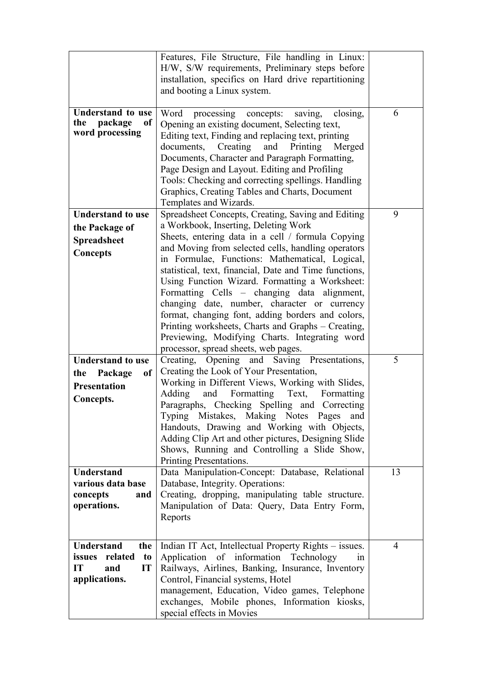|                                         | Features, File Structure, File handling in Linux:<br>H/W, S/W requirements, Preliminary steps before<br>installation, specifics on Hard drive repartitioning<br>and booting a Linux system.                                                                                                                                                                                                     |    |
|-----------------------------------------|-------------------------------------------------------------------------------------------------------------------------------------------------------------------------------------------------------------------------------------------------------------------------------------------------------------------------------------------------------------------------------------------------|----|
| <b>Understand to use</b>                | Word<br>processing concepts:<br>saving.<br>closing,                                                                                                                                                                                                                                                                                                                                             | 6  |
| package<br>the<br>of<br>word processing | Opening an existing document, Selecting text,<br>Editing text, Finding and replacing text, printing<br>Creating<br>and<br>Printing<br>documents,<br>Merged<br>Documents, Character and Paragraph Formatting,<br>Page Design and Layout. Editing and Profiling<br>Tools: Checking and correcting spellings. Handling<br>Graphics, Creating Tables and Charts, Document<br>Templates and Wizards. |    |
| <b>Understand to use</b>                | Spreadsheet Concepts, Creating, Saving and Editing                                                                                                                                                                                                                                                                                                                                              | 9  |
| the Package of                          | a Workbook, Inserting, Deleting Work                                                                                                                                                                                                                                                                                                                                                            |    |
| <b>Spreadsheet</b>                      | Sheets, entering data in a cell / formula Copying                                                                                                                                                                                                                                                                                                                                               |    |
| <b>Concepts</b>                         | and Moving from selected cells, handling operators                                                                                                                                                                                                                                                                                                                                              |    |
|                                         | in Formulae, Functions: Mathematical, Logical,                                                                                                                                                                                                                                                                                                                                                  |    |
|                                         | statistical, text, financial, Date and Time functions,<br>Using Function Wizard. Formatting a Worksheet:                                                                                                                                                                                                                                                                                        |    |
|                                         | Formatting Cells – changing data alignment,                                                                                                                                                                                                                                                                                                                                                     |    |
|                                         | changing date, number, character or currency                                                                                                                                                                                                                                                                                                                                                    |    |
|                                         | format, changing font, adding borders and colors,                                                                                                                                                                                                                                                                                                                                               |    |
|                                         | Printing worksheets, Charts and Graphs – Creating,                                                                                                                                                                                                                                                                                                                                              |    |
|                                         | Previewing, Modifying Charts. Integrating word                                                                                                                                                                                                                                                                                                                                                  |    |
|                                         | processor, spread sheets, web pages.                                                                                                                                                                                                                                                                                                                                                            |    |
| <b>Understand to use</b>                | Creating, Opening and Saving Presentations,                                                                                                                                                                                                                                                                                                                                                     | 5  |
| Package<br>of<br>the                    | Creating the Look of Your Presentation,<br>Working in Different Views, Working with Slides,                                                                                                                                                                                                                                                                                                     |    |
| <b>Presentation</b>                     | Adding<br>and Formatting<br>Text,<br>Formatting                                                                                                                                                                                                                                                                                                                                                 |    |
| Concepts.                               | Paragraphs, Checking Spelling and Correcting                                                                                                                                                                                                                                                                                                                                                    |    |
|                                         | Typing Mistakes, Making Notes Pages<br>and                                                                                                                                                                                                                                                                                                                                                      |    |
|                                         | Handouts, Drawing and Working with Objects,                                                                                                                                                                                                                                                                                                                                                     |    |
|                                         | Adding Clip Art and other pictures, Designing Slide                                                                                                                                                                                                                                                                                                                                             |    |
|                                         | Shows, Running and Controlling a Slide Show,                                                                                                                                                                                                                                                                                                                                                    |    |
| <b>Understand</b>                       | Printing Presentations.                                                                                                                                                                                                                                                                                                                                                                         | 13 |
| various data base                       | Data Manipulation-Concept: Database, Relational<br>Database, Integrity. Operations:                                                                                                                                                                                                                                                                                                             |    |
| concepts<br>and                         | Creating, dropping, manipulating table structure.                                                                                                                                                                                                                                                                                                                                               |    |
| operations.                             | Manipulation of Data: Query, Data Entry Form,                                                                                                                                                                                                                                                                                                                                                   |    |
|                                         | Reports                                                                                                                                                                                                                                                                                                                                                                                         |    |
|                                         |                                                                                                                                                                                                                                                                                                                                                                                                 |    |
| <b>Understand</b><br>the                | Indian IT Act, Intellectual Property Rights - issues.                                                                                                                                                                                                                                                                                                                                           | 4  |
| related<br>issues<br>t <sub>0</sub>     | Application of information Technology<br>1n                                                                                                                                                                                                                                                                                                                                                     |    |
| IT<br>$\bf IT$<br>and                   | Railways, Airlines, Banking, Insurance, Inventory                                                                                                                                                                                                                                                                                                                                               |    |
| applications.                           | Control, Financial systems, Hotel                                                                                                                                                                                                                                                                                                                                                               |    |
|                                         | management, Education, Video games, Telephone                                                                                                                                                                                                                                                                                                                                                   |    |
|                                         | exchanges, Mobile phones, Information kiosks,                                                                                                                                                                                                                                                                                                                                                   |    |
|                                         | special effects in Movies                                                                                                                                                                                                                                                                                                                                                                       |    |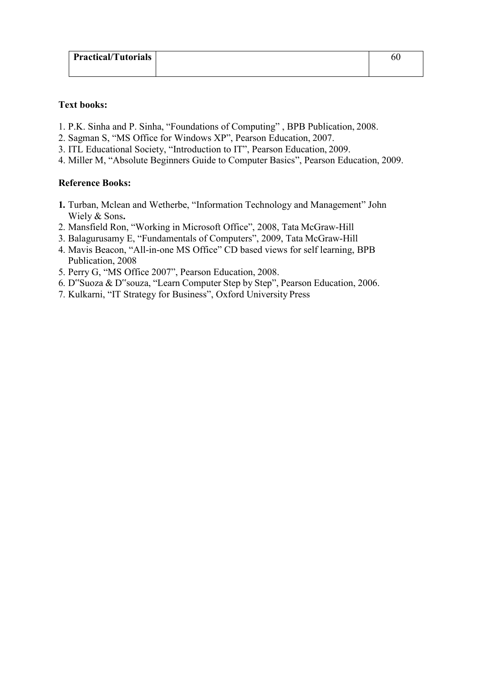| <b>Practical/Tutorials</b> | OU |
|----------------------------|----|
|                            |    |

- 1. P.K. Sinha and P. Sinha, "Foundations of Computing" , BPB Publication, 2008.
- 2. Sagman S, "MS Office for Windows XP", Pearson Education, 2007.
- 3. ITL Educational Society, "Introduction to IT", Pearson Education, 2009.
- 4. Miller M, "Absolute Beginners Guide to Computer Basics", Pearson Education, 2009.

#### **Reference Books:**

- **1.** Turban, Mclean and Wetherbe, "Information Technology and Management" John Wiely & Sons**.**
- 2. Mansfield Ron, "Working in Microsoft Office", 2008, Tata McGraw-Hill
- 3. Balagurusamy E, "Fundamentals of Computers", 2009, Tata McGraw-Hill
- 4. Mavis Beacon, "All-in-one MS Office" CD based views for self learning, BPB Publication, 2008
- 5. Perry G, "MS Office 2007", Pearson Education, 2008.
- 6. D"Suoza & D"souza, "Learn Computer Step by Step", Pearson Education, 2006.
- 7. Kulkarni, "IT Strategy for Business", Oxford University Press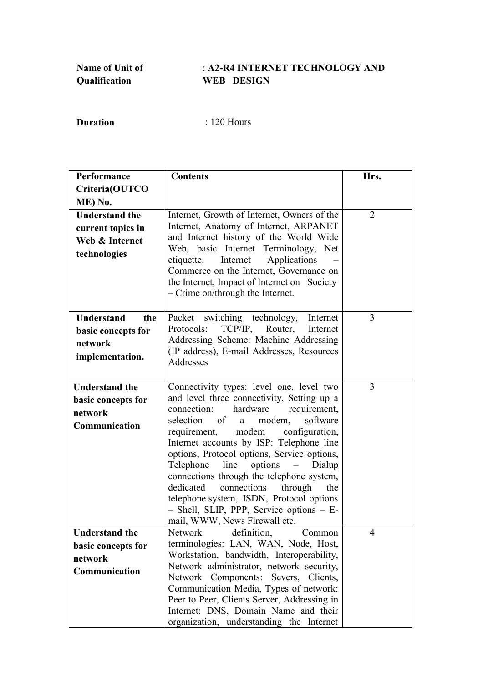## : **A2-R4 INTERNET TECHNOLOGY AND WEB DESIGN**

| Performance                                | <b>Contents</b>                                                                       | Hrs.           |
|--------------------------------------------|---------------------------------------------------------------------------------------|----------------|
| Criteria(OUTCO                             |                                                                                       |                |
| ME) No.                                    |                                                                                       |                |
| <b>Understand the</b><br>current topics in | Internet, Growth of Internet, Owners of the<br>Internet, Anatomy of Internet, ARPANET | $\overline{2}$ |
| Web & Internet                             | and Internet history of the World Wide                                                |                |
|                                            | Web, basic Internet Terminology, Net                                                  |                |
| technologies                               | Applications<br>Internet<br>etiquette.                                                |                |
|                                            | Commerce on the Internet, Governance on                                               |                |
|                                            | the Internet, Impact of Internet on Society                                           |                |
|                                            | - Crime on/through the Internet.                                                      |                |
| <b>Understand</b><br>the                   | Packet switching technology,<br>Internet                                              | 3              |
| basic concepts for                         | $TCP/IP$ ,<br>Router,<br>Protocols:<br>Internet                                       |                |
| network                                    | Addressing Scheme: Machine Addressing                                                 |                |
|                                            | (IP address), E-mail Addresses, Resources                                             |                |
| implementation.                            | Addresses                                                                             |                |
|                                            |                                                                                       |                |
| <b>Understand the</b>                      | Connectivity types: level one, level two                                              | 3              |
| basic concepts for                         | and level three connectivity, Setting up a                                            |                |
| network                                    | hardware<br>connection:<br>requirement,                                               |                |
| Communication                              | selection<br>of<br>software<br>modem,<br>a<br>modem<br>configuration,<br>requirement, |                |
|                                            | Internet accounts by ISP: Telephone line                                              |                |
|                                            | options, Protocol options, Service options,                                           |                |
|                                            | options<br>Telephone<br>line<br>Dialup<br>$\equiv$                                    |                |
|                                            | connections through the telephone system,                                             |                |
|                                            | connections<br>dedicated<br>through<br>the                                            |                |
|                                            | telephone system, ISDN, Protocol options                                              |                |
|                                            | - Shell, SLIP, PPP, Service options - E-                                              |                |
|                                            | mail, WWW, News Firewall etc.                                                         |                |
| Understand the                             | <b>Network</b><br>definition,<br>Common<br>terminologies: LAN, WAN, Node, Host,       | 4              |
| basic concepts for                         | Workstation, bandwidth, Interoperability,                                             |                |
| network                                    | Network administrator, network security,                                              |                |
| Communication                              | Network Components: Severs, Clients,                                                  |                |
|                                            | Communication Media, Types of network:                                                |                |
|                                            | Peer to Peer, Clients Server, Addressing in                                           |                |
|                                            | Internet: DNS, Domain Name and their                                                  |                |
|                                            | organization, understanding the Internet                                              |                |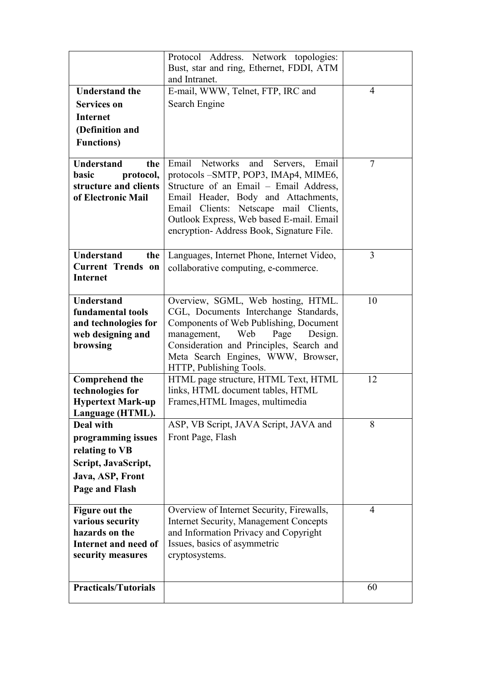|                             | Protocol Address. Network topologies:                         |                |
|-----------------------------|---------------------------------------------------------------|----------------|
|                             | Bust, star and ring, Ethernet, FDDI, ATM                      |                |
|                             | and Intranet.                                                 |                |
| <b>Understand the</b>       | E-mail, WWW, Telnet, FTP, IRC and                             | $\overline{4}$ |
| <b>Services on</b>          | Search Engine                                                 |                |
| <b>Internet</b>             |                                                               |                |
| (Definition and             |                                                               |                |
| <b>Functions</b> )          |                                                               |                |
|                             |                                                               |                |
| <b>Understand</b><br>the    | Networks and<br>Email<br>Servers,<br>Email                    | 7              |
| basic<br>protocol,          | protocols -SMTP, POP3, IMAp4, MIME6,                          |                |
| structure and clients       | Structure of an Email – Email Address,                        |                |
| of Electronic Mail          | Email Header, Body and Attachments,                           |                |
|                             | Email Clients: Netscape mail Clients,                         |                |
|                             | Outlook Express, Web based E-mail. Email                      |                |
|                             | encryption-Address Book, Signature File.                      |                |
|                             |                                                               |                |
| <b>Understand</b><br>the    | Languages, Internet Phone, Internet Video,                    | $\overline{3}$ |
| <b>Current Trends on</b>    | collaborative computing, e-commerce.                          |                |
| <b>Internet</b>             |                                                               |                |
|                             |                                                               |                |
| <b>Understand</b>           | Overview, SGML, Web hosting, HTML.                            | 10             |
| fundamental tools           | CGL, Documents Interchange Standards,                         |                |
| and technologies for        | Components of Web Publishing, Document                        |                |
| web designing and           | management, Web<br>Page<br>Design.                            |                |
| browsing                    | Consideration and Principles, Search and                      |                |
|                             | Meta Search Engines, WWW, Browser,<br>HTTP, Publishing Tools. |                |
| <b>Comprehend the</b>       | HTML page structure, HTML Text, HTML                          | 12             |
| technologies for            | links, HTML document tables, HTML                             |                |
| <b>Hypertext Mark-up</b>    | Frames, HTML Images, multimedia                               |                |
| Language (HTML).            |                                                               |                |
| Deal with                   | ASP, VB Script, JAVA Script, JAVA and                         | 8              |
| programming issues          | Front Page, Flash                                             |                |
| relating to VB              |                                                               |                |
| Script, JavaScript,         |                                                               |                |
| Java, ASP, Front            |                                                               |                |
|                             |                                                               |                |
| Page and Flash              |                                                               |                |
| <b>Figure out the</b>       | Overview of Internet Security, Firewalls,                     | 4              |
| various security            | <b>Internet Security, Management Concepts</b>                 |                |
| hazards on the              | and Information Privacy and Copyright                         |                |
| Internet and need of        | Issues, basics of asymmetric                                  |                |
| security measures           | cryptosystems.                                                |                |
|                             |                                                               |                |
|                             |                                                               |                |
| <b>Practicals/Tutorials</b> |                                                               | 60             |
|                             |                                                               |                |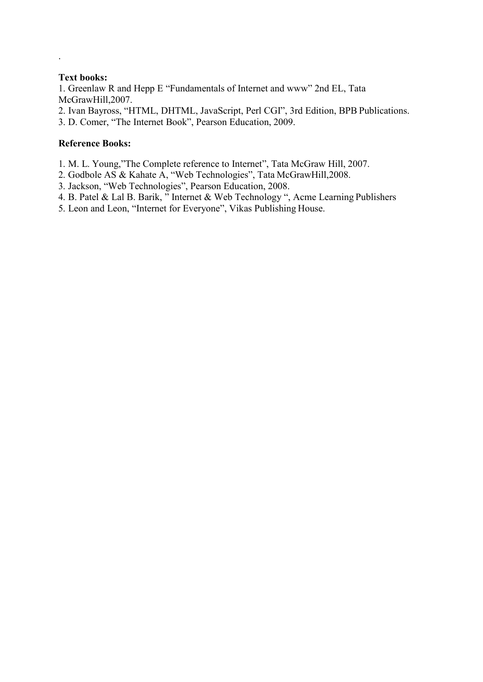.

1. Greenlaw R and Hepp E "Fundamentals of Internet and www" 2nd EL, Tata McGrawHill,2007.

2. Ivan Bayross, "HTML, DHTML, JavaScript, Perl CGI", 3rd Edition, BPB Publications.

3. D. Comer, "The Internet Book", Pearson Education, 2009.

### **Reference Books:**

- 1. M. L. Young,"The Complete reference to Internet", Tata McGraw Hill, 2007.
- 2. Godbole AS & Kahate A, "Web Technologies", Tata McGrawHill,2008.
- 3. Jackson, "Web Technologies", Pearson Education, 2008.
- 4. B. Patel & Lal B. Barik, " Internet & Web Technology ", Acme Learning Publishers
- 5. Leon and Leon, "Internet for Everyone", Vikas Publishing House.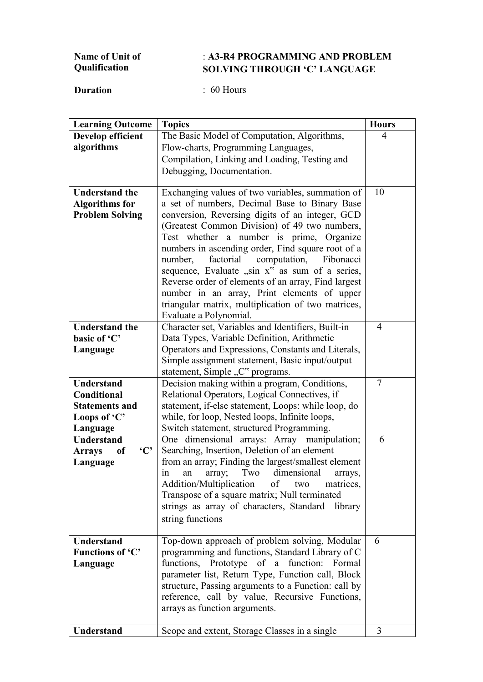#### **Name of Unit of Qualification** : **A3-R4 PROGRAMMING AND PROBLEM SOLVING THROUGH 'C' LANGUAGE**

| <b>Learning Outcome</b>                        | <b>Topics</b>                                                                | <b>Hours</b>   |
|------------------------------------------------|------------------------------------------------------------------------------|----------------|
| Develop efficient                              | The Basic Model of Computation, Algorithms,                                  | 4              |
| algorithms                                     | Flow-charts, Programming Languages,                                          |                |
|                                                | Compilation, Linking and Loading, Testing and                                |                |
|                                                | Debugging, Documentation.                                                    |                |
|                                                |                                                                              |                |
| <b>Understand the</b>                          | Exchanging values of two variables, summation of                             | 10             |
| <b>Algorithms for</b>                          | a set of numbers, Decimal Base to Binary Base                                |                |
| <b>Problem Solving</b>                         | conversion, Reversing digits of an integer, GCD                              |                |
|                                                | (Greatest Common Division) of 49 two numbers,                                |                |
|                                                | Test whether a number is prime, Organize                                     |                |
|                                                | numbers in ascending order, Find square root of a                            |                |
|                                                | factorial<br>number,<br>computation,<br>Fibonacci                            |                |
|                                                | sequence, Evaluate "sin x" as sum of a series,                               |                |
|                                                | Reverse order of elements of an array, Find largest                          |                |
|                                                | number in an array, Print elements of upper                                  |                |
|                                                | triangular matrix, multiplication of two matrices,<br>Evaluate a Polynomial. |                |
| <b>Understand the</b>                          | Character set, Variables and Identifiers, Built-in                           | $\overline{4}$ |
| basic of 'C'                                   | Data Types, Variable Definition, Arithmetic                                  |                |
| Language                                       | Operators and Expressions, Constants and Literals,                           |                |
|                                                | Simple assignment statement, Basic input/output                              |                |
|                                                | statement, Simple "C" programs.                                              |                |
| <b>Understand</b>                              | Decision making within a program, Conditions,                                | $\overline{7}$ |
| Conditional                                    | Relational Operators, Logical Connectives, if                                |                |
| <b>Statements and</b>                          | statement, if-else statement, Loops: while loop, do                          |                |
| Loops of 'C'                                   | while, for loop, Nested loops, Infinite loops,                               |                |
| Language                                       | Switch statement, structured Programming.                                    |                |
| <b>Understand</b>                              | One dimensional arrays: Array manipulation;                                  | 6              |
| $\mathbf{C}$<br><b>Arrays</b><br><sub>of</sub> | Searching, Insertion, Deletion of an element                                 |                |
| Language                                       | from an array; Finding the largest/smallest element                          |                |
|                                                | dimensional<br>Two<br>array;<br>1n<br>an<br>arrays,                          |                |
|                                                | Addition/Multiplication<br>of two<br>matrices,                               |                |
|                                                | Transpose of a square matrix; Null terminated                                |                |
|                                                | strings as array of characters, Standard library                             |                |
|                                                | string functions                                                             |                |
| <b>Understand</b>                              | Top-down approach of problem solving, Modular                                | 6              |
| Functions of 'C'                               | programming and functions, Standard Library of C                             |                |
| Language                                       | functions, Prototype of a function: Formal                                   |                |
|                                                | parameter list, Return Type, Function call, Block                            |                |
|                                                | structure, Passing arguments to a Function: call by                          |                |
|                                                | reference, call by value, Recursive Functions,                               |                |
|                                                | arrays as function arguments.                                                |                |
|                                                |                                                                              |                |
| Understand                                     | Scope and extent, Storage Classes in a single                                | 3              |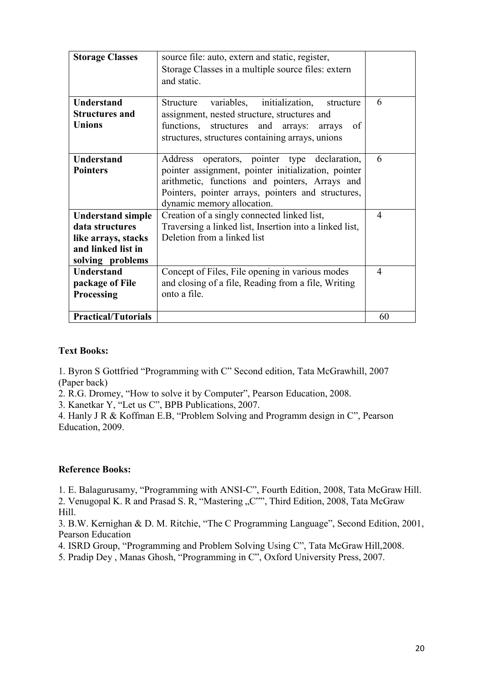| <b>Storage Classes</b>                                                                                       | source file: auto, extern and static, register,<br>Storage Classes in a multiple source files: extern<br>and static.                                                                                                                         |                |
|--------------------------------------------------------------------------------------------------------------|----------------------------------------------------------------------------------------------------------------------------------------------------------------------------------------------------------------------------------------------|----------------|
| <b>Understand</b><br><b>Structures and</b><br><b>Unions</b>                                                  | variables, initialization,<br><b>Structure</b><br>structure<br>assignment, nested structure, structures and<br>functions, structures and arrays:<br>of<br>arrays<br>structures, structures containing arrays, unions                         | 6              |
| <b>Understand</b><br><b>Pointers</b>                                                                         | operators, pointer type declaration,<br>Address<br>pointer assignment, pointer initialization, pointer<br>arithmetic, functions and pointers, Arrays and<br>Pointers, pointer arrays, pointers and structures,<br>dynamic memory allocation. | 6              |
| <b>Understand simple</b><br>data structures<br>like arrays, stacks<br>and linked list in<br>solving problems | Creation of a singly connected linked list,<br>Traversing a linked list, Insertion into a linked list,<br>Deletion from a linked list                                                                                                        | $\overline{4}$ |
| <b>Understand</b><br>package of File<br>Processing                                                           | Concept of Files, File opening in various modes<br>and closing of a file, Reading from a file, Writing<br>onto a file.                                                                                                                       | $\overline{4}$ |
| <b>Practical/Tutorials</b>                                                                                   |                                                                                                                                                                                                                                              | 60             |

1. Byron S Gottfried "Programming with C" Second edition, Tata McGrawhill, 2007 (Paper back)

2. R.G. Dromey, "How to solve it by Computer", Pearson Education, 2008.

3. Kanetkar Y, "Let us C", BPB Publications, 2007.

4. Hanly J R & Koffman E.B, "Problem Solving and Programm design in C", Pearson Education, 2009.

#### **Reference Books:**

1. E. Balagurusamy, "Programming with ANSI-C", Fourth Edition, 2008, Tata McGraw Hill. 2. Venugopal K. R and Prasad S. R, "Mastering "C"", Third Edition, 2008, Tata McGraw Hill.

3. B.W. Kernighan & D. M. Ritchie, "The C Programming Language", Second Edition, 2001, Pearson Education

4. ISRD Group, "Programming and Problem Solving Using C", Tata McGraw Hill,2008.

5. Pradip Dey , Manas Ghosh, "Programming in C", Oxford University Press, 2007.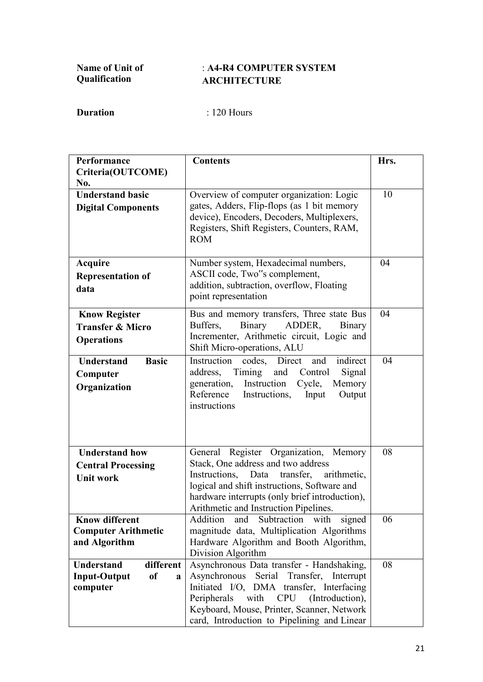## : **A4-R4 COMPUTER SYSTEM ARCHITECTURE**

| Performance                               | <b>Contents</b>                                                                             | Hrs. |
|-------------------------------------------|---------------------------------------------------------------------------------------------|------|
| Criteria(OUTCOME)                         |                                                                                             |      |
| No.                                       |                                                                                             |      |
| <b>Understand basic</b>                   | Overview of computer organization: Logic                                                    | 10   |
| <b>Digital Components</b>                 | gates, Adders, Flip-flops (as 1 bit memory                                                  |      |
|                                           | device), Encoders, Decoders, Multiplexers,                                                  |      |
|                                           | Registers, Shift Registers, Counters, RAM,                                                  |      |
|                                           | <b>ROM</b>                                                                                  |      |
|                                           |                                                                                             |      |
| <b>Acquire</b>                            | Number system, Hexadecimal numbers,                                                         | 04   |
| <b>Representation of</b>                  | ASCII code, Two"s complement,                                                               |      |
| data                                      | addition, subtraction, overflow, Floating                                                   |      |
|                                           | point representation                                                                        |      |
| <b>Know Register</b>                      | Bus and memory transfers, Three state Bus                                                   | 04   |
| <b>Transfer &amp; Micro</b>               | Binary<br>Buffers,<br>ADDER,<br>Binary                                                      |      |
| <b>Operations</b>                         | Incrementer, Arithmetic circuit, Logic and                                                  |      |
|                                           | Shift Micro-operations, ALU                                                                 |      |
| <b>Basic</b><br><b>Understand</b>         | Instruction<br>Direct<br>indirect<br>codes,<br>and                                          | 04   |
| Computer                                  | Signal<br>address,<br>Timing<br>Control<br>and                                              |      |
| Organization                              | Instruction<br>generation,<br>Cycle,<br>Memory                                              |      |
|                                           | Reference<br>Instructions,<br>Output<br>Input                                               |      |
|                                           | instructions                                                                                |      |
|                                           |                                                                                             |      |
|                                           |                                                                                             |      |
| <b>Understand how</b>                     | General Register Organization, Memory                                                       | 08   |
| <b>Central Processing</b>                 | Stack, One address and two address                                                          |      |
| <b>Unit work</b>                          | Instructions,<br>Data<br>transfer,<br>arithmetic,                                           |      |
|                                           | logical and shift instructions, Software and                                                |      |
|                                           | hardware interrupts (only brief introduction),                                              |      |
|                                           | Arithmetic and Instruction Pipelines.                                                       |      |
| <b>Know different</b>                     | Addition<br>and<br>Subtraction<br>with<br>signed                                            | 06   |
| <b>Computer Arithmetic</b>                | magnitude data, Multiplication Algorithms                                                   |      |
| and Algorithm                             | Hardware Algorithm and Booth Algorithm,                                                     |      |
|                                           | Division Algorithm                                                                          |      |
| <b>Understand</b><br>different            | Asynchronous Data transfer - Handshaking,                                                   | 08   |
| <b>Input-Output</b><br><sub>of</sub><br>a | Asynchronous<br>Serial<br>Transfer,<br>Interrupt                                            |      |
| computer                                  | Initiated I/O, DMA transfer, Interfacing                                                    |      |
|                                           | Peripherals<br>with<br>CPU<br>(Introduction),<br>Keyboard, Mouse, Printer, Scanner, Network |      |
|                                           |                                                                                             |      |
|                                           | card, Introduction to Pipelining and Linear                                                 |      |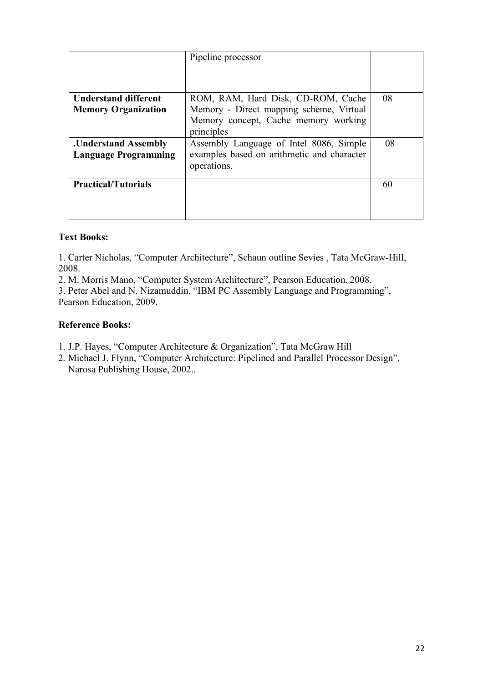|                                                            | Pipeline processor                                                                                                                  |    |
|------------------------------------------------------------|-------------------------------------------------------------------------------------------------------------------------------------|----|
|                                                            |                                                                                                                                     |    |
| <b>Understand different</b><br><b>Memory Organization</b>  | ROM, RAM, Hard Disk, CD-ROM, Cache<br>Memory - Direct mapping scheme, Virtual<br>Memory concept, Cache memory working<br>principles | 08 |
| <b>.Understand Assembly</b><br><b>Language Programming</b> | Assembly Language of Intel 8086, Simple<br>examples based on arithmetic and character<br>operations.                                | 08 |
| <b>Practical/Tutorials</b>                                 |                                                                                                                                     | 60 |

1. Carter Nicholas, "Computer Architecture", Schaun outline Sevies , Tata McGraw-Hill, 2008.

2. M. Morris Mano, "Computer System Architecture", Pearson Education, 2008.

3. Peter Abel and N. Nizamuddin, "IBM PC Assembly Language and Programming", Pearson Education, 2009.

### **Reference Books:**

- 1. J.P. Hayes, "Computer Architecture & Organization", Tata McGraw Hill
- 2. Michael J. Flynn, "Computer Architecture: Pipelined and Parallel Processor Design", Narosa Publishing House, 2002..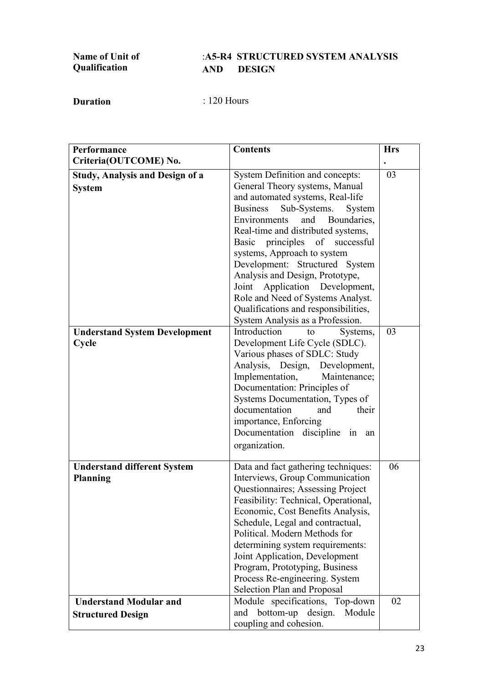| <b>Name of Unit of</b> |      | :A5-R4 STRUCTURED SYSTEM ANALYSIS |
|------------------------|------|-----------------------------------|
| Qualification          | AND. | <b>DESIGN</b>                     |

| Performance<br>Criteria(OUTCOME) No.                      | <b>Contents</b>                                                                                                                                                                                                                                                                                                                                                                                                                                                                                                            | <b>Hrs</b> |
|-----------------------------------------------------------|----------------------------------------------------------------------------------------------------------------------------------------------------------------------------------------------------------------------------------------------------------------------------------------------------------------------------------------------------------------------------------------------------------------------------------------------------------------------------------------------------------------------------|------------|
| <b>Study, Analysis and Design of a</b><br><b>System</b>   | System Definition and concepts:<br>General Theory systems, Manual<br>and automated systems, Real-life<br>Sub-Systems.<br><b>Business</b><br>System<br>Environments<br>and<br>Boundaries,<br>Real-time and distributed systems,<br>Basic principles of successful<br>systems, Approach to system<br>Development: Structured System<br>Analysis and Design, Prototype,<br>Application Development,<br>Joint<br>Role and Need of Systems Analyst.<br>Qualifications and responsibilities,<br>System Analysis as a Profession. | 03         |
| <b>Understand System Development</b><br>Cycle             | Introduction<br>Systems,<br>to<br>Development Life Cycle (SDLC).<br>Various phases of SDLC: Study<br>Analysis, Design, Development,<br>Implementation,<br>Maintenance;<br>Documentation: Principles of<br>Systems Documentation, Types of<br>documentation<br>and<br>their<br>importance, Enforcing<br>Documentation discipline in an<br>organization.                                                                                                                                                                     | 03         |
| <b>Understand different System</b><br><b>Planning</b>     | Data and fact gathering techniques:<br>Interviews, Group Communication<br>Questionnaires; Assessing Project<br>Feasibility: Technical, Operational,<br>Economic, Cost Benefits Analysis,<br>Schedule, Legal and contractual,<br>Political. Modern Methods for<br>determining system requirements:<br>Joint Application, Development<br>Program, Prototyping, Business<br>Process Re-engineering. System<br>Selection Plan and Proposal                                                                                     | 06         |
| <b>Understand Modular and</b><br><b>Structured Design</b> | Module specifications, Top-down<br>bottom-up<br>design.<br>Module<br>and<br>coupling and cohesion.                                                                                                                                                                                                                                                                                                                                                                                                                         | 02         |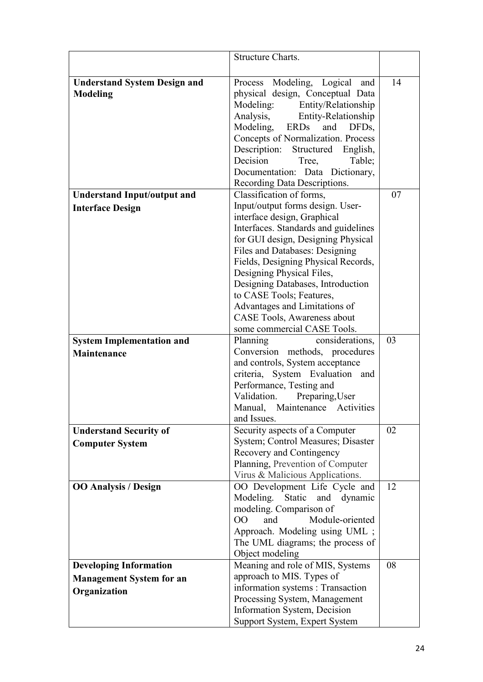|                                                 | Structure Charts.                                           |    |
|-------------------------------------------------|-------------------------------------------------------------|----|
|                                                 |                                                             |    |
|                                                 | Process Modeling, Logical<br>and                            | 14 |
| <b>Understand System Design and</b><br>Modeling | physical design, Conceptual Data                            |    |
|                                                 | Entity/Relationship<br>Modeling:                            |    |
|                                                 | Analysis,<br><b>Entity-Relationship</b>                     |    |
|                                                 | Modeling,<br>ERDs<br>and<br>DFD <sub>s</sub>                |    |
|                                                 | Concepts of Normalization. Process                          |    |
|                                                 | Description: Structured English,                            |    |
|                                                 | Decision<br>Table;<br>Tree,                                 |    |
|                                                 | Documentation: Data Dictionary,                             |    |
|                                                 | Recording Data Descriptions.                                |    |
| <b>Understand Input/output and</b>              | Classification of forms,                                    | 07 |
| <b>Interface Design</b>                         | Input/output forms design. User-                            |    |
|                                                 | interface design, Graphical                                 |    |
|                                                 | Interfaces. Standards and guidelines                        |    |
|                                                 | for GUI design, Designing Physical                          |    |
|                                                 | Files and Databases: Designing                              |    |
|                                                 | Fields, Designing Physical Records,                         |    |
|                                                 | Designing Physical Files,                                   |    |
|                                                 | Designing Databases, Introduction                           |    |
|                                                 | to CASE Tools; Features,                                    |    |
|                                                 | Advantages and Limitations of                               |    |
|                                                 | CASE Tools, Awareness about                                 |    |
|                                                 | some commercial CASE Tools.                                 |    |
| <b>System Implementation and</b>                | Planning<br>considerations,                                 | 03 |
| <b>Maintenance</b>                              | Conversion methods, procedures                              |    |
|                                                 | and controls, System acceptance                             |    |
|                                                 | criteria, System Evaluation and<br>Performance, Testing and |    |
|                                                 | Validation.<br>Preparing, User                              |    |
|                                                 | Manual, Maintenance Activities                              |    |
|                                                 | and Issues.                                                 |    |
| <b>Understand Security of</b>                   | Security aspects of a Computer                              | 02 |
| <b>Computer System</b>                          | System; Control Measures; Disaster                          |    |
|                                                 | Recovery and Contingency                                    |    |
|                                                 | Planning, Prevention of Computer                            |    |
|                                                 | Virus & Malicious Applications.                             |    |
| <b>OO Analysis / Design</b>                     | OO Development Life Cycle and                               | 12 |
|                                                 | Modeling.<br>Static and<br>dynamic                          |    |
|                                                 | modeling. Comparison of                                     |    |
|                                                 | $00\,$<br>Module-oriented<br>and                            |    |
|                                                 | Approach. Modeling using UML;                               |    |
|                                                 | The UML diagrams; the process of                            |    |
|                                                 | Object modeling                                             |    |
| <b>Developing Information</b>                   | Meaning and role of MIS, Systems                            | 08 |
| <b>Management System for an</b>                 | approach to MIS. Types of                                   |    |
| Organization                                    | information systems : Transaction                           |    |
|                                                 | Processing System, Management                               |    |
|                                                 | Information System, Decision                                |    |
|                                                 | Support System, Expert System                               |    |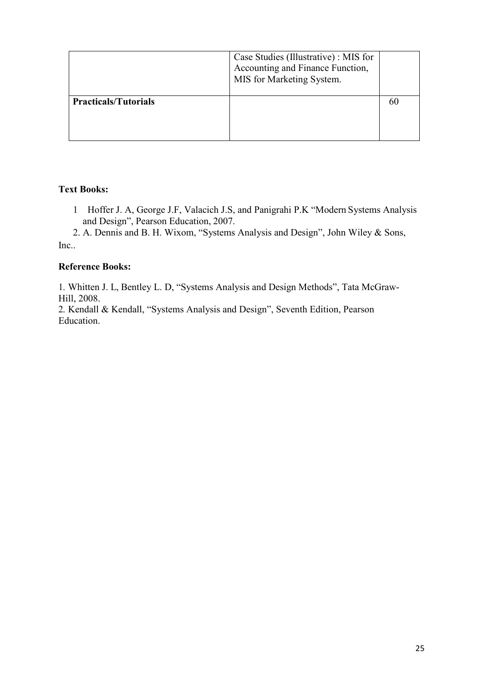|                             | Case Studies (Illustrative) : MIS for<br>Accounting and Finance Function,<br>MIS for Marketing System. |  |
|-----------------------------|--------------------------------------------------------------------------------------------------------|--|
| <b>Practicals/Tutorials</b> |                                                                                                        |  |

1 Hoffer J. A, George J.F, Valacich J.S, and Panigrahi P.K "Modern Systems Analysis and Design", Pearson Education, 2007.

2. A. Dennis and B. H. Wixom, "Systems Analysis and Design", John Wiley & Sons, Inc.

## **Reference Books:**

1. Whitten J. L, Bentley L. D, "Systems Analysis and Design Methods", Tata McGraw-Hill, 2008.

2. Kendall & Kendall, "Systems Analysis and Design", Seventh Edition, Pearson Education.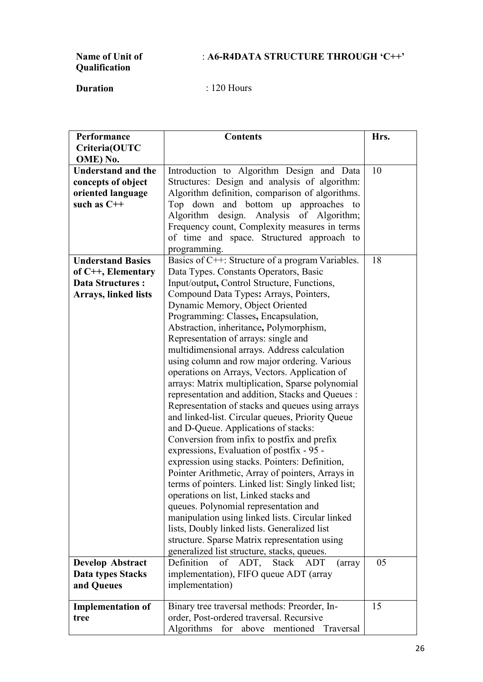## : **A6-R4DATA STRUCTURE THROUGH 'C++'**

## **Name of Unit of Qualification**

| Performance                 | <b>Contents</b>                                     | Hrs. |
|-----------------------------|-----------------------------------------------------|------|
| Criteria(OUTC               |                                                     |      |
| OME) No.                    |                                                     |      |
| <b>Understand and the</b>   | Introduction to Algorithm Design and Data           | 10   |
| concepts of object          | Structures: Design and analysis of algorithm:       |      |
| oriented language           | Algorithm definition, comparison of algorithms.     |      |
| such as $C++$               | Top down and bottom up<br>approaches to             |      |
|                             | Algorithm design. Analysis of Algorithm;            |      |
|                             | Frequency count, Complexity measures in terms       |      |
|                             | of time and space. Structured approach to           |      |
|                             | programming.                                        |      |
| <b>Understand Basics</b>    | Basics of C++: Structure of a program Variables.    | 18   |
| of C++, Elementary          | Data Types. Constants Operators, Basic              |      |
| <b>Data Structures:</b>     | Input/output, Control Structure, Functions,         |      |
| <b>Arrays, linked lists</b> | Compound Data Types: Arrays, Pointers,              |      |
|                             | Dynamic Memory, Object Oriented                     |      |
|                             | Programming: Classes, Encapsulation,                |      |
|                             | Abstraction, inheritance, Polymorphism,             |      |
|                             | Representation of arrays: single and                |      |
|                             | multidimensional arrays. Address calculation        |      |
|                             | using column and row major ordering. Various        |      |
|                             | operations on Arrays, Vectors. Application of       |      |
|                             | arrays: Matrix multiplication, Sparse polynomial    |      |
|                             | representation and addition, Stacks and Queues :    |      |
|                             | Representation of stacks and queues using arrays    |      |
|                             | and linked-list. Circular queues, Priority Queue    |      |
|                             | and D-Queue. Applications of stacks:                |      |
|                             | Conversion from infix to postfix and prefix         |      |
|                             | expressions, Evaluation of postfix - 95 -           |      |
|                             | expression using stacks. Pointers: Definition,      |      |
|                             | Pointer Arithmetic, Array of pointers, Arrays in    |      |
|                             | terms of pointers. Linked list: Singly linked list; |      |
|                             | operations on list, Linked stacks and               |      |
|                             | queues. Polynomial representation and               |      |
|                             | manipulation using linked lists. Circular linked    |      |
|                             | lists, Doubly linked lists. Generalized list        |      |
|                             | structure. Sparse Matrix representation using       |      |
|                             | generalized list structure, stacks, queues.         |      |
| <b>Develop Abstract</b>     | Definition<br>of<br>ADT, Stack<br>ADT<br>(array     | 05   |
| <b>Data types Stacks</b>    | implementation), FIFO queue ADT (array              |      |
| and Queues                  | implementation)                                     |      |
| <b>Implementation of</b>    | Binary tree traversal methods: Preorder, In-        | 15   |
| tree                        | order, Post-ordered traversal. Recursive            |      |
|                             | Algorithms<br>for<br>above mentioned<br>Traversal   |      |
|                             |                                                     |      |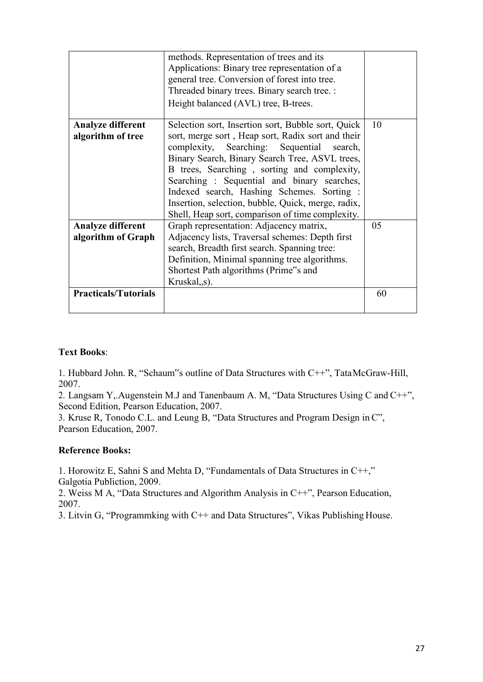|                                                | methods. Representation of trees and its<br>Applications: Binary tree representation of a<br>general tree. Conversion of forest into tree.<br>Threaded binary trees. Binary search tree. :<br>Height balanced (AVL) tree, B-trees.                                                                                                                                                                                                                         |    |
|------------------------------------------------|------------------------------------------------------------------------------------------------------------------------------------------------------------------------------------------------------------------------------------------------------------------------------------------------------------------------------------------------------------------------------------------------------------------------------------------------------------|----|
| <b>Analyze different</b><br>algorithm of tree  | Selection sort, Insertion sort, Bubble sort, Quick<br>sort, merge sort, Heap sort, Radix sort and their<br>complexity, Searching: Sequential search,<br>Binary Search, Binary Search Tree, ASVL trees,<br>B trees, Searching, sorting and complexity,<br>Searching: Sequential and binary searches,<br>Indexed search, Hashing Schemes. Sorting:<br>Insertion, selection, bubble, Quick, merge, radix,<br>Shell, Heap sort, comparison of time complexity. | 10 |
| <b>Analyze different</b><br>algorithm of Graph | Graph representation: Adjacency matrix,<br>Adjacency lists, Traversal schemes: Depth first<br>search, Breadth first search. Spanning tree:<br>Definition, Minimal spanning tree algorithms.<br>Shortest Path algorithms (Prime"s and<br>Kruskal, s).                                                                                                                                                                                                       | 05 |
| <b>Practicals/Tutorials</b>                    |                                                                                                                                                                                                                                                                                                                                                                                                                                                            | 60 |

1. Hubbard John. R, "Schaum"s outline of Data Structures with C++", TataMcGraw-Hill, 2007.

2. Langsam Y,.Augenstein M.J and Tanenbaum A. M, "Data Structures Using C and C++", Second Edition, Pearson Education, 2007.

3. Kruse R, Tonodo C.L. and Leung B, "Data Structures and Program Design in C", Pearson Education, 2007.

#### **Reference Books:**

1. Horowitz E, Sahni S and Mehta D, "Fundamentals of Data Structures in C++," Galgotia Publiction, 2009.

2. Weiss M A, "Data Structures and Algorithm Analysis in C++", Pearson Education, 2007.

3. Litvin G, "Programmking with C++ and Data Structures", Vikas Publishing House.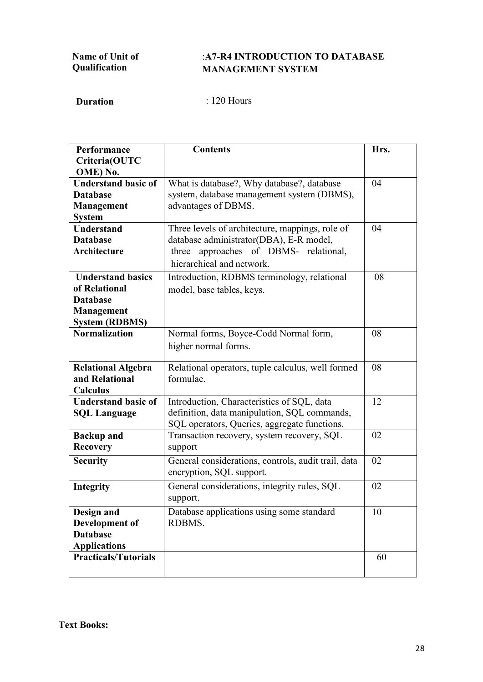## :**A7-R4 INTRODUCTION TO DATABASE MANAGEMENT SYSTEM**

**Duration** : 120 Hours

| Performance                                   | <b>Contents</b>                                                                 | Hrs. |
|-----------------------------------------------|---------------------------------------------------------------------------------|------|
| Criteria(OUTC                                 |                                                                                 |      |
| OME) No.                                      |                                                                                 |      |
| <b>Understand basic of</b><br><b>Database</b> | What is database?, Why database?, database                                      | 04   |
|                                               | system, database management system (DBMS),<br>advantages of DBMS.               |      |
| Management<br><b>System</b>                   |                                                                                 |      |
| <b>Understand</b>                             | Three levels of architecture, mappings, role of                                 | 04   |
| <b>Database</b>                               | database administrator(DBA), E-R model,                                         |      |
| Architecture                                  | three approaches of DBMS- relational,                                           |      |
|                                               | hierarchical and network.                                                       |      |
| <b>Understand basics</b>                      | Introduction, RDBMS terminology, relational                                     | 08   |
| of Relational                                 |                                                                                 |      |
| <b>Database</b>                               | model, base tables, keys.                                                       |      |
| Management                                    |                                                                                 |      |
| <b>System (RDBMS)</b>                         |                                                                                 |      |
| <b>Normalization</b>                          | Normal forms, Boyce-Codd Normal form,                                           | 08   |
|                                               | higher normal forms.                                                            |      |
|                                               |                                                                                 |      |
| <b>Relational Algebra</b>                     | Relational operators, tuple calculus, well formed                               | 08   |
| and Relational                                | formulae.                                                                       |      |
| Calculus                                      |                                                                                 |      |
| <b>Understand basic of</b>                    | Introduction, Characteristics of SQL, data                                      | 12   |
| <b>SQL Language</b>                           | definition, data manipulation, SQL commands,                                    |      |
|                                               | SQL operators, Queries, aggregate functions.                                    |      |
| <b>Backup</b> and                             | Transaction recovery, system recovery, SQL                                      | 02   |
| <b>Recovery</b>                               | support                                                                         |      |
| <b>Security</b>                               | General considerations, controls, audit trail, data<br>encryption, SQL support. | 02   |
| <b>Integrity</b>                              | General considerations, integrity rules, SQL                                    | 02   |
|                                               | support.                                                                        |      |
| Design and                                    | Database applications using some standard                                       | 10   |
| Development of                                | RDBMS.                                                                          |      |
| <b>Database</b>                               |                                                                                 |      |
| <b>Applications</b>                           |                                                                                 |      |
| <b>Practicals/Tutorials</b>                   |                                                                                 | 60   |
|                                               |                                                                                 |      |

**Text Books:**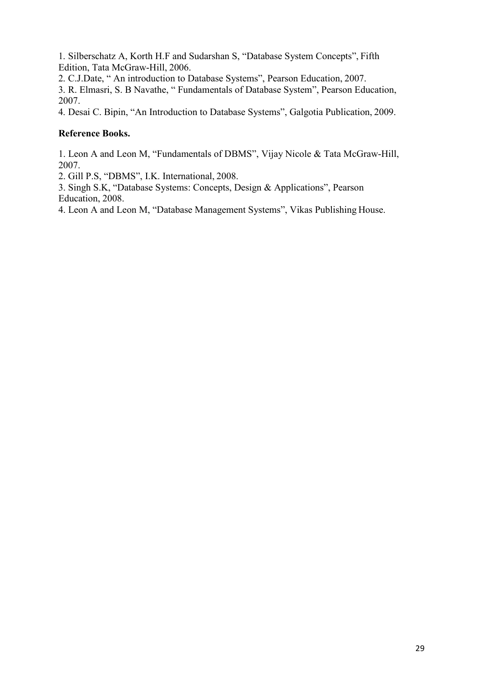1. Silberschatz A, Korth H.F and Sudarshan S, "Database System Concepts", Fifth Edition, Tata McGraw-Hill, 2006.

2. C.J.Date, " An introduction to Database Systems", Pearson Education, 2007.

3. R. Elmasri, S. B Navathe, " Fundamentals of Database System", Pearson Education, 2007.

4. Desai C. Bipin, "An Introduction to Database Systems", Galgotia Publication, 2009.

### **Reference Books.**

1. Leon A and Leon M, "Fundamentals of DBMS", Vijay Nicole & Tata McGraw-Hill, 2007.

2. Gill P.S, "DBMS", I.K. International, 2008.

3. Singh S.K, "Database Systems: Concepts, Design & Applications", Pearson Education, 2008.

4. Leon A and Leon M, "Database Management Systems", Vikas Publishing House.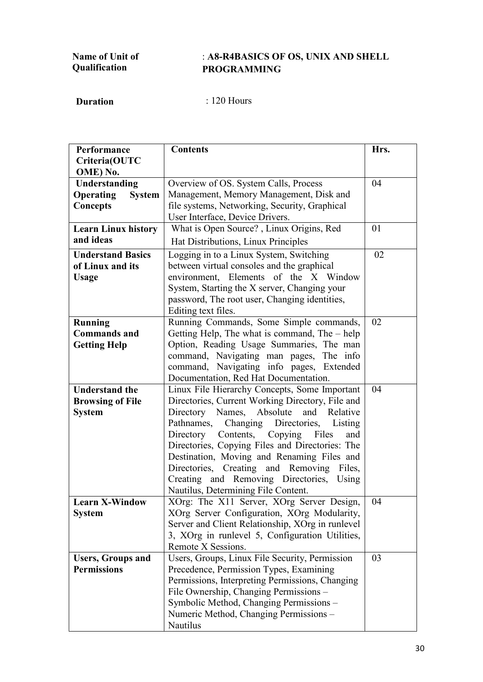## : **A8-R4BASICS OF OS, UNIX AND SHELL PROGRAMMING**

| Performance                                   | <b>Contents</b>                                                                                 | Hrs. |
|-----------------------------------------------|-------------------------------------------------------------------------------------------------|------|
| Criteria(OUTC                                 |                                                                                                 |      |
| OME) No.                                      |                                                                                                 | 04   |
| Understanding                                 | Overview of OS. System Calls, Process<br>Management, Memory Management, Disk and                |      |
| <b>Operating</b><br><b>System</b><br>Concepts | file systems, Networking, Security, Graphical                                                   |      |
|                                               | User Interface, Device Drivers.                                                                 |      |
| <b>Learn Linux history</b>                    | What is Open Source?, Linux Origins, Red                                                        | 01   |
| and ideas                                     | Hat Distributions, Linux Principles                                                             |      |
| <b>Understand Basics</b>                      | Logging in to a Linux System, Switching                                                         | 02   |
| of Linux and its                              | between virtual consoles and the graphical                                                      |      |
| <b>Usage</b>                                  | environment, Elements of the X Window                                                           |      |
|                                               | System, Starting the X server, Changing your                                                    |      |
|                                               | password, The root user, Changing identities,                                                   |      |
|                                               | Editing text files.                                                                             |      |
| <b>Running</b><br><b>Commands</b> and         | Running Commands, Some Simple commands,                                                         | 02   |
| <b>Getting Help</b>                           | Getting Help, The what is command, The – help<br>Option, Reading Usage Summaries, The man       |      |
|                                               | command, Navigating man pages, The info                                                         |      |
|                                               | command, Navigating info pages, Extended                                                        |      |
|                                               | Documentation, Red Hat Documentation.                                                           |      |
| <b>Understand the</b>                         | Linux File Hierarchy Concepts, Some Important                                                   | 04   |
| <b>Browsing of File</b>                       | Directories, Current Working Directory, File and                                                |      |
| <b>System</b>                                 | Directory<br>Names,<br>Absolute<br>and<br>Relative                                              |      |
|                                               | Pathnames, Changing Directories, Listing                                                        |      |
|                                               | Directory Contents, Copying Files<br>and                                                        |      |
|                                               | Directories, Copying Files and Directories: The                                                 |      |
|                                               | Destination, Moving and Renaming Files and                                                      |      |
|                                               | Directories, Creating and Removing Files,                                                       |      |
|                                               | Creating and Removing Directories, Using                                                        |      |
|                                               | Nautilus, Determining File Content.                                                             |      |
| <b>Learn X-Window</b>                         | XOrg: The X11 Server, XOrg Server Design,                                                       | 04   |
| <b>System</b>                                 | XOrg Server Configuration, XOrg Modularity,<br>Server and Client Relationship, XOrg in runlevel |      |
|                                               | 3, XOrg in runlevel 5, Configuration Utilities,                                                 |      |
|                                               | Remote X Sessions.                                                                              |      |
| <b>Users, Groups and</b>                      | Users, Groups, Linux File Security, Permission                                                  | 03   |
| <b>Permissions</b>                            | Precedence, Permission Types, Examining                                                         |      |
|                                               | Permissions, Interpreting Permissions, Changing                                                 |      |
|                                               | File Ownership, Changing Permissions -                                                          |      |
|                                               | Symbolic Method, Changing Permissions -                                                         |      |
|                                               | Numeric Method, Changing Permissions -                                                          |      |
|                                               | Nautilus                                                                                        |      |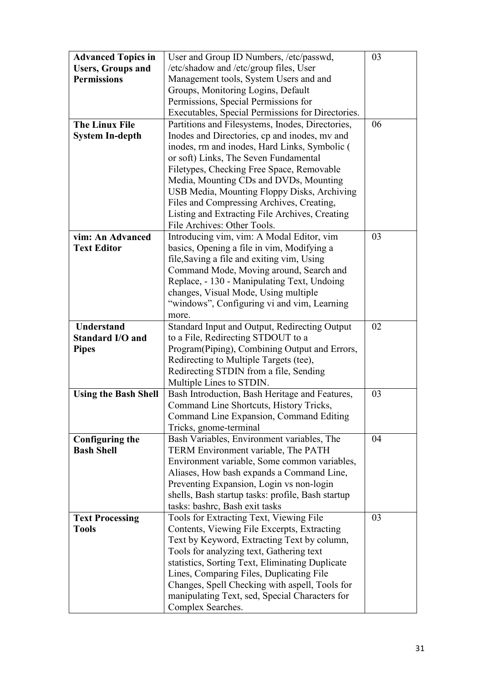| <b>Advanced Topics in</b>   | User and Group ID Numbers, /etc/passwd,              | 03 |
|-----------------------------|------------------------------------------------------|----|
| <b>Users, Groups and</b>    | /etc/shadow and /etc/group files, User               |    |
| <b>Permissions</b>          | Management tools, System Users and and               |    |
|                             | Groups, Monitoring Logins, Default                   |    |
|                             | Permissions, Special Permissions for                 |    |
|                             | Executables, Special Permissions for Directories.    |    |
| <b>The Linux File</b>       | Partitions and Filesystems, Inodes, Directories,     | 06 |
| <b>System In-depth</b>      | Inodes and Directories, cp and inodes, my and        |    |
|                             | inodes, rm and inodes, Hard Links, Symbolic (        |    |
|                             | or soft) Links, The Seven Fundamental                |    |
|                             | Filetypes, Checking Free Space, Removable            |    |
|                             | Media, Mounting CDs and DVDs, Mounting               |    |
|                             | USB Media, Mounting Floppy Disks, Archiving          |    |
|                             | Files and Compressing Archives, Creating,            |    |
|                             | Listing and Extracting File Archives, Creating       |    |
|                             | File Archives: Other Tools.                          |    |
| vim: An Advanced            | Introducing vim, vim: A Modal Editor, vim            | 03 |
| <b>Text Editor</b>          | basics, Opening a file in vim, Modifying a           |    |
|                             | file, Saving a file and exiting vim, Using           |    |
|                             | Command Mode, Moving around, Search and              |    |
|                             | Replace, - 130 - Manipulating Text, Undoing          |    |
|                             | changes, Visual Mode, Using multiple                 |    |
|                             | "windows", Configuring vi and vim, Learning          |    |
|                             | more.                                                |    |
| <b>Understand</b>           | <b>Standard Input and Output, Redirecting Output</b> | 02 |
| <b>Standard I/O and</b>     | to a File, Redirecting STDOUT to a                   |    |
| <b>Pipes</b>                | Program (Piping), Combining Output and Errors,       |    |
|                             | Redirecting to Multiple Targets (tee),               |    |
|                             | Redirecting STDIN from a file, Sending               |    |
|                             | Multiple Lines to STDIN.                             |    |
| <b>Using the Bash Shell</b> | Bash Introduction, Bash Heritage and Features,       | 03 |
|                             | Command Line Shortcuts, History Tricks,              |    |
|                             | Command Line Expansion, Command Editing              |    |
|                             | Tricks, gnome-terminal                               |    |
| <b>Configuring the</b>      | Bash Variables, Environment variables, The           | 04 |
| <b>Bash Shell</b>           | TERM Environment variable, The PATH                  |    |
|                             | Environment variable, Some common variables,         |    |
|                             | Aliases, How bash expands a Command Line,            |    |
|                             | Preventing Expansion, Login vs non-login             |    |
|                             | shells, Bash startup tasks: profile, Bash startup    |    |
|                             | tasks: bashrc, Bash exit tasks                       |    |
| <b>Text Processing</b>      | Tools for Extracting Text, Viewing File              | 03 |
| <b>Tools</b>                | Contents, Viewing File Excerpts, Extracting          |    |
|                             | Text by Keyword, Extracting Text by column,          |    |
|                             | Tools for analyzing text, Gathering text             |    |
|                             | statistics, Sorting Text, Eliminating Duplicate      |    |
|                             | Lines, Comparing Files, Duplicating File             |    |
|                             | Changes, Spell Checking with aspell, Tools for       |    |
|                             | manipulating Text, sed, Special Characters for       |    |
|                             | Complex Searches.                                    |    |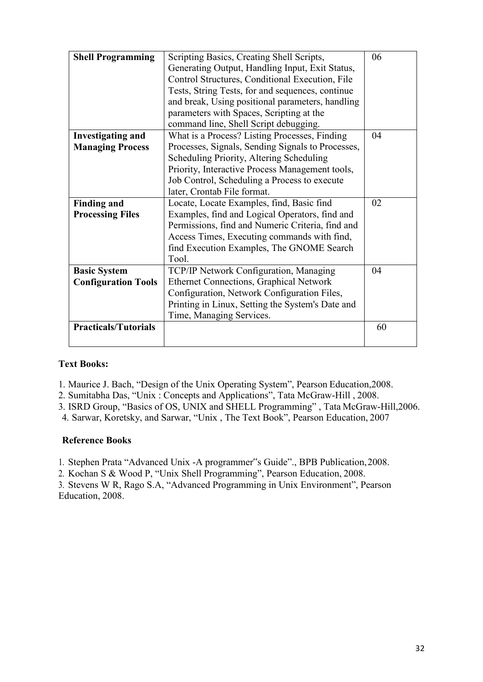| <b>Shell Programming</b>    | Scripting Basics, Creating Shell Scripts,         | 06 |
|-----------------------------|---------------------------------------------------|----|
|                             | Generating Output, Handling Input, Exit Status,   |    |
|                             | Control Structures, Conditional Execution, File   |    |
|                             | Tests, String Tests, for and sequences, continue  |    |
|                             | and break, Using positional parameters, handling  |    |
|                             | parameters with Spaces, Scripting at the          |    |
|                             | command line, Shell Script debugging.             |    |
| <b>Investigating and</b>    | What is a Process? Listing Processes, Finding     | 04 |
| <b>Managing Process</b>     | Processes, Signals, Sending Signals to Processes, |    |
|                             | Scheduling Priority, Altering Scheduling          |    |
|                             | Priority, Interactive Process Management tools,   |    |
|                             | Job Control, Scheduling a Process to execute      |    |
|                             | later, Crontab File format.                       |    |
| <b>Finding and</b>          | Locate, Locate Examples, find, Basic find         | 02 |
| <b>Processing Files</b>     | Examples, find and Logical Operators, find and    |    |
|                             | Permissions, find and Numeric Criteria, find and  |    |
|                             | Access Times, Executing commands with find,       |    |
|                             | find Execution Examples, The GNOME Search         |    |
|                             | Tool.                                             |    |
| <b>Basic System</b>         | TCP/IP Network Configuration, Managing            | 04 |
| <b>Configuration Tools</b>  | <b>Ethernet Connections, Graphical Network</b>    |    |
|                             | Configuration, Network Configuration Files,       |    |
|                             | Printing in Linux, Setting the System's Date and  |    |
|                             | Time, Managing Services.                          |    |
| <b>Practicals/Tutorials</b> |                                                   | 60 |
|                             |                                                   |    |

1. Maurice J. Bach, "Design of the Unix Operating System", Pearson Education,2008.

2. Sumitabha Das, "Unix : Concepts and Applications", Tata McGraw-Hill , 2008.

3. ISRD Group, "Basics of OS, UNIX and SHELL Programming" , Tata McGraw-Hill,2006.

4. Sarwar, Koretsky, and Sarwar, "Unix , The Text Book", Pearson Education, 2007

#### **Reference Books**

1. Stephen Prata "Advanced Unix -A programmer"s Guide"., BPB Publication,2008.

2. Kochan S & Wood P, "Unix Shell Programming", Pearson Education, 2008.

3. Stevens W R, Rago S.A, "Advanced Programming in Unix Environment", Pearson Education, 2008.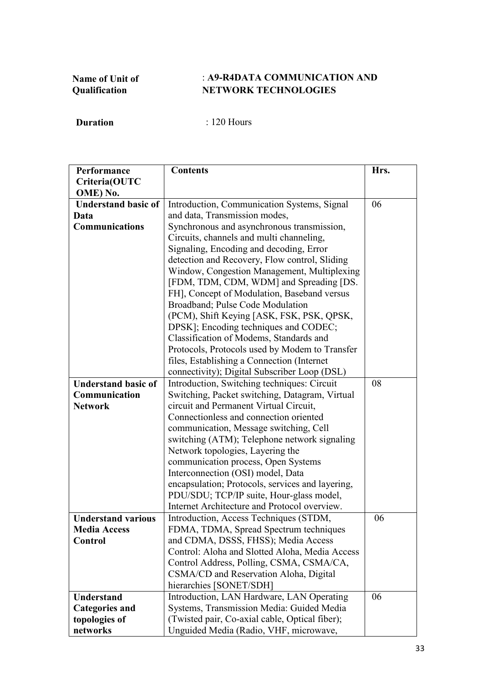## : **A9-R4DATA COMMUNICATION AND NETWORK TECHNOLOGIES**

| Performance                | <b>Contents</b>                                  | Hrs. |
|----------------------------|--------------------------------------------------|------|
| Criteria(OUTC              |                                                  |      |
| OME) No.                   |                                                  |      |
| <b>Understand basic of</b> | Introduction, Communication Systems, Signal      | 06   |
| Data                       | and data, Transmission modes,                    |      |
| <b>Communications</b>      | Synchronous and asynchronous transmission,       |      |
|                            | Circuits, channels and multi channeling,         |      |
|                            | Signaling, Encoding and decoding, Error          |      |
|                            | detection and Recovery, Flow control, Sliding    |      |
|                            | Window, Congestion Management, Multiplexing      |      |
|                            | [FDM, TDM, CDM, WDM] and Spreading [DS.          |      |
|                            | FH], Concept of Modulation, Baseband versus      |      |
|                            | Broadband; Pulse Code Modulation                 |      |
|                            | (PCM), Shift Keying [ASK, FSK, PSK, QPSK,        |      |
|                            | DPSK]; Encoding techniques and CODEC;            |      |
|                            | Classification of Modems, Standards and          |      |
|                            | Protocols, Protocols used by Modem to Transfer   |      |
|                            | files, Establishing a Connection (Internet)      |      |
|                            | connectivity); Digital Subscriber Loop (DSL)     |      |
| <b>Understand basic of</b> | Introduction, Switching techniques: Circuit      | 08   |
| Communication              | Switching, Packet switching, Datagram, Virtual   |      |
| <b>Network</b>             | circuit and Permanent Virtual Circuit,           |      |
|                            | Connectionless and connection oriented           |      |
|                            | communication, Message switching, Cell           |      |
|                            | switching (ATM); Telephone network signaling     |      |
|                            | Network topologies, Layering the                 |      |
|                            | communication process, Open Systems              |      |
|                            | Interconnection (OSI) model, Data                |      |
|                            | encapsulation; Protocols, services and layering, |      |
|                            | PDU/SDU; TCP/IP suite, Hour-glass model,         |      |
|                            | Internet Architecture and Protocol overview.     |      |
| <b>Understand various</b>  | Introduction, Access Techniques (STDM,           | 06   |
| <b>Media Access</b>        | FDMA, TDMA, Spread Spectrum techniques           |      |
| Control                    | and CDMA, DSSS, FHSS); Media Access              |      |
|                            | Control: Aloha and Slotted Aloha, Media Access   |      |
|                            | Control Address, Polling, CSMA, CSMA/CA,         |      |
|                            | CSMA/CD and Reservation Aloha, Digital           |      |
|                            | hierarchies [SONET/SDH]                          |      |
| <b>Understand</b>          | Introduction, LAN Hardware, LAN Operating        | 06   |
| <b>Categories and</b>      | Systems, Transmission Media: Guided Media        |      |
| topologies of              | (Twisted pair, Co-axial cable, Optical fiber);   |      |
| networks                   | Unguided Media (Radio, VHF, microwave,           |      |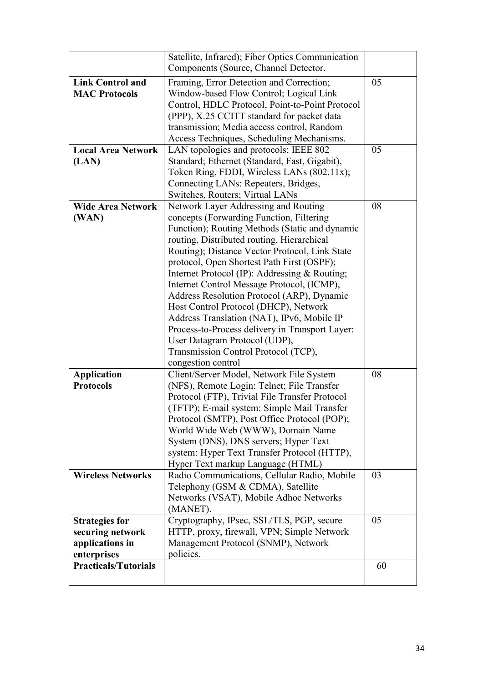|                                                                             | Satellite, Infrared); Fiber Optics Communication<br>Components (Source, Channel Detector.                                                                                                                                                                                                                                                                                                                                                                                                                                                                                                                                                                              |    |
|-----------------------------------------------------------------------------|------------------------------------------------------------------------------------------------------------------------------------------------------------------------------------------------------------------------------------------------------------------------------------------------------------------------------------------------------------------------------------------------------------------------------------------------------------------------------------------------------------------------------------------------------------------------------------------------------------------------------------------------------------------------|----|
| <b>Link Control and</b><br><b>MAC Protocols</b>                             | Framing, Error Detection and Correction;<br>Window-based Flow Control; Logical Link<br>Control, HDLC Protocol, Point-to-Point Protocol<br>(PPP), X.25 CCITT standard for packet data<br>transmission; Media access control, Random<br>Access Techniques, Scheduling Mechanisms.                                                                                                                                                                                                                                                                                                                                                                                        | 05 |
| <b>Local Area Network</b><br>(LAN)                                          | LAN topologies and protocols; IEEE 802<br>Standard; Ethernet (Standard, Fast, Gigabit),<br>Token Ring, FDDI, Wireless LANs (802.11x);<br>Connecting LANs: Repeaters, Bridges,<br>Switches, Routers; Virtual LANs                                                                                                                                                                                                                                                                                                                                                                                                                                                       | 05 |
| <b>Wide Area Network</b><br>(WAN)                                           | Network Layer Addressing and Routing<br>concepts (Forwarding Function, Filtering<br>Function); Routing Methods (Static and dynamic<br>routing, Distributed routing, Hierarchical<br>Routing); Distance Vector Protocol, Link State<br>protocol, Open Shortest Path First (OSPF);<br>Internet Protocol (IP): Addressing & Routing;<br>Internet Control Message Protocol, (ICMP),<br>Address Resolution Protocol (ARP), Dynamic<br>Host Control Protocol (DHCP), Network<br>Address Translation (NAT), IPv6, Mobile IP<br>Process-to-Process delivery in Transport Layer:<br>User Datagram Protocol (UDP),<br>Transmission Control Protocol (TCP),<br>congestion control | 08 |
| <b>Application</b><br><b>Protocols</b>                                      | Client/Server Model, Network File System<br>(NFS), Remote Login: Telnet; File Transfer<br>Protocol (FTP), Trivial File Transfer Protocol<br>(TFTP); E-mail system: Simple Mail Transfer<br>Protocol (SMTP), Post Office Protocol (POP);<br>World Wide Web (WWW), Domain Name<br>System (DNS), DNS servers; Hyper Text<br>system: Hyper Text Transfer Protocol (HTTP),<br>Hyper Text markup Language (HTML)                                                                                                                                                                                                                                                             | 08 |
| <b>Wireless Networks</b>                                                    | Radio Communications, Cellular Radio, Mobile<br>Telephony (GSM & CDMA), Satellite<br>Networks (VSAT), Mobile Adhoc Networks<br>(MANET).                                                                                                                                                                                                                                                                                                                                                                                                                                                                                                                                | 03 |
| <b>Strategies for</b><br>securing network<br>applications in<br>enterprises | Cryptography, IPsec, SSL/TLS, PGP, secure<br>HTTP, proxy, firewall, VPN; Simple Network<br>Management Protocol (SNMP), Network<br>policies.                                                                                                                                                                                                                                                                                                                                                                                                                                                                                                                            | 05 |
| <b>Practicals/Tutorials</b>                                                 |                                                                                                                                                                                                                                                                                                                                                                                                                                                                                                                                                                                                                                                                        | 60 |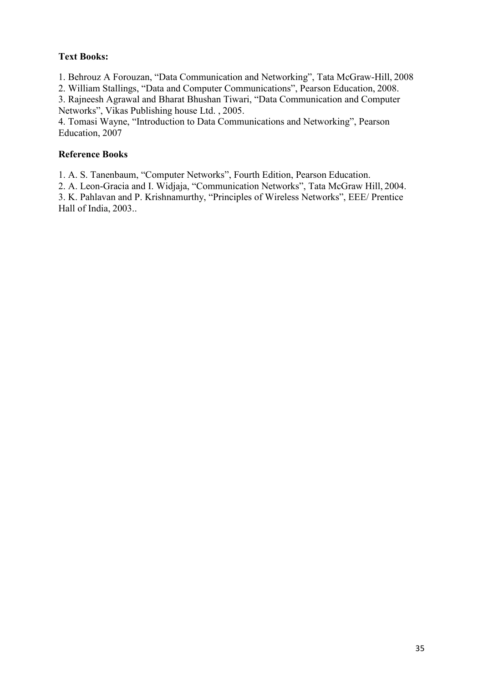1. Behrouz A Forouzan, "Data Communication and Networking", Tata McGraw-Hill, 2008

2. William Stallings, "Data and Computer Communications", Pearson Education, 2008.

3. Rajneesh Agrawal and Bharat Bhushan Tiwari, "Data Communication and Computer Networks", Vikas Publishing house Ltd. , 2005.

4. Tomasi Wayne, "Introduction to Data Communications and Networking", Pearson Education, 2007

## **Reference Books**

1. A. S. Tanenbaum, "Computer Networks", Fourth Edition, Pearson Education.

2. A. Leon-Gracia and I. Widjaja, "Communication Networks", Tata McGraw Hill, 2004.

3. K. Pahlavan and P. Krishnamurthy, "Principles of Wireless Networks", EEE/ Prentice Hall of India, 2003..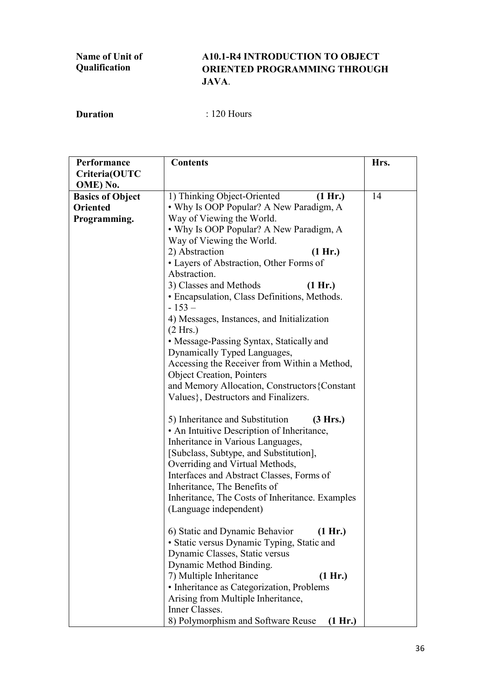## **A10.1-R4 INTRODUCTION TO OBJECT ORIENTED PROGRAMMING THROUGH JAVA**.

| Criteria(OUTC<br>OME) No.<br>1) Thinking Object-Oriented<br>14<br>(1 Hr.)<br><b>Basics of Object</b><br>• Why Is OOP Popular? A New Paradigm, A<br><b>Oriented</b><br>Way of Viewing the World.<br>Programming.<br>• Why Is OOP Popular? A New Paradigm, A<br>Way of Viewing the World.<br>2) Abstraction<br>(1 Hr.)<br>• Layers of Abstraction, Other Forms of<br>Abstraction.<br>3) Classes and Methods<br>(1 Hr.)<br>• Encapsulation, Class Definitions, Methods.<br>$-153-$<br>4) Messages, Instances, and Initialization<br>(2 Hrs.)<br>• Message-Passing Syntax, Statically and<br>Dynamically Typed Languages,<br>Accessing the Receiver from Within a Method,<br><b>Object Creation</b> , Pointers<br>and Memory Allocation, Constructors {Constant<br>Values}, Destructors and Finalizers. | Performance | <b>Contents</b> | Hrs. |
|-----------------------------------------------------------------------------------------------------------------------------------------------------------------------------------------------------------------------------------------------------------------------------------------------------------------------------------------------------------------------------------------------------------------------------------------------------------------------------------------------------------------------------------------------------------------------------------------------------------------------------------------------------------------------------------------------------------------------------------------------------------------------------------------------------|-------------|-----------------|------|
|                                                                                                                                                                                                                                                                                                                                                                                                                                                                                                                                                                                                                                                                                                                                                                                                     |             |                 |      |
|                                                                                                                                                                                                                                                                                                                                                                                                                                                                                                                                                                                                                                                                                                                                                                                                     |             |                 |      |
|                                                                                                                                                                                                                                                                                                                                                                                                                                                                                                                                                                                                                                                                                                                                                                                                     |             |                 |      |
|                                                                                                                                                                                                                                                                                                                                                                                                                                                                                                                                                                                                                                                                                                                                                                                                     |             |                 |      |
|                                                                                                                                                                                                                                                                                                                                                                                                                                                                                                                                                                                                                                                                                                                                                                                                     |             |                 |      |
|                                                                                                                                                                                                                                                                                                                                                                                                                                                                                                                                                                                                                                                                                                                                                                                                     |             |                 |      |
|                                                                                                                                                                                                                                                                                                                                                                                                                                                                                                                                                                                                                                                                                                                                                                                                     |             |                 |      |
|                                                                                                                                                                                                                                                                                                                                                                                                                                                                                                                                                                                                                                                                                                                                                                                                     |             |                 |      |
|                                                                                                                                                                                                                                                                                                                                                                                                                                                                                                                                                                                                                                                                                                                                                                                                     |             |                 |      |
|                                                                                                                                                                                                                                                                                                                                                                                                                                                                                                                                                                                                                                                                                                                                                                                                     |             |                 |      |
|                                                                                                                                                                                                                                                                                                                                                                                                                                                                                                                                                                                                                                                                                                                                                                                                     |             |                 |      |
|                                                                                                                                                                                                                                                                                                                                                                                                                                                                                                                                                                                                                                                                                                                                                                                                     |             |                 |      |
|                                                                                                                                                                                                                                                                                                                                                                                                                                                                                                                                                                                                                                                                                                                                                                                                     |             |                 |      |
|                                                                                                                                                                                                                                                                                                                                                                                                                                                                                                                                                                                                                                                                                                                                                                                                     |             |                 |      |
|                                                                                                                                                                                                                                                                                                                                                                                                                                                                                                                                                                                                                                                                                                                                                                                                     |             |                 |      |
|                                                                                                                                                                                                                                                                                                                                                                                                                                                                                                                                                                                                                                                                                                                                                                                                     |             |                 |      |
|                                                                                                                                                                                                                                                                                                                                                                                                                                                                                                                                                                                                                                                                                                                                                                                                     |             |                 |      |
|                                                                                                                                                                                                                                                                                                                                                                                                                                                                                                                                                                                                                                                                                                                                                                                                     |             |                 |      |
|                                                                                                                                                                                                                                                                                                                                                                                                                                                                                                                                                                                                                                                                                                                                                                                                     |             |                 |      |
|                                                                                                                                                                                                                                                                                                                                                                                                                                                                                                                                                                                                                                                                                                                                                                                                     |             |                 |      |
|                                                                                                                                                                                                                                                                                                                                                                                                                                                                                                                                                                                                                                                                                                                                                                                                     |             |                 |      |
|                                                                                                                                                                                                                                                                                                                                                                                                                                                                                                                                                                                                                                                                                                                                                                                                     |             |                 |      |
| 5) Inheritance and Substitution<br>(3 Hrs.)                                                                                                                                                                                                                                                                                                                                                                                                                                                                                                                                                                                                                                                                                                                                                         |             |                 |      |
| • An Intuitive Description of Inheritance,                                                                                                                                                                                                                                                                                                                                                                                                                                                                                                                                                                                                                                                                                                                                                          |             |                 |      |
| Inheritance in Various Languages,                                                                                                                                                                                                                                                                                                                                                                                                                                                                                                                                                                                                                                                                                                                                                                   |             |                 |      |
| [Subclass, Subtype, and Substitution],                                                                                                                                                                                                                                                                                                                                                                                                                                                                                                                                                                                                                                                                                                                                                              |             |                 |      |
| Overriding and Virtual Methods,                                                                                                                                                                                                                                                                                                                                                                                                                                                                                                                                                                                                                                                                                                                                                                     |             |                 |      |
| Interfaces and Abstract Classes, Forms of                                                                                                                                                                                                                                                                                                                                                                                                                                                                                                                                                                                                                                                                                                                                                           |             |                 |      |
| Inheritance, The Benefits of                                                                                                                                                                                                                                                                                                                                                                                                                                                                                                                                                                                                                                                                                                                                                                        |             |                 |      |
| Inheritance, The Costs of Inheritance. Examples                                                                                                                                                                                                                                                                                                                                                                                                                                                                                                                                                                                                                                                                                                                                                     |             |                 |      |
| (Language independent)                                                                                                                                                                                                                                                                                                                                                                                                                                                                                                                                                                                                                                                                                                                                                                              |             |                 |      |
| 6) Static and Dynamic Behavior<br>(1 Hr.)                                                                                                                                                                                                                                                                                                                                                                                                                                                                                                                                                                                                                                                                                                                                                           |             |                 |      |
| • Static versus Dynamic Typing, Static and                                                                                                                                                                                                                                                                                                                                                                                                                                                                                                                                                                                                                                                                                                                                                          |             |                 |      |
| Dynamic Classes, Static versus                                                                                                                                                                                                                                                                                                                                                                                                                                                                                                                                                                                                                                                                                                                                                                      |             |                 |      |
| Dynamic Method Binding.                                                                                                                                                                                                                                                                                                                                                                                                                                                                                                                                                                                                                                                                                                                                                                             |             |                 |      |
| 7) Multiple Inheritance<br>(1 Hr.)                                                                                                                                                                                                                                                                                                                                                                                                                                                                                                                                                                                                                                                                                                                                                                  |             |                 |      |
| • Inheritance as Categorization, Problems                                                                                                                                                                                                                                                                                                                                                                                                                                                                                                                                                                                                                                                                                                                                                           |             |                 |      |
| Arising from Multiple Inheritance,                                                                                                                                                                                                                                                                                                                                                                                                                                                                                                                                                                                                                                                                                                                                                                  |             |                 |      |
| Inner Classes.                                                                                                                                                                                                                                                                                                                                                                                                                                                                                                                                                                                                                                                                                                                                                                                      |             |                 |      |
| 8) Polymorphism and Software Reuse<br>(1 Hr.)                                                                                                                                                                                                                                                                                                                                                                                                                                                                                                                                                                                                                                                                                                                                                       |             |                 |      |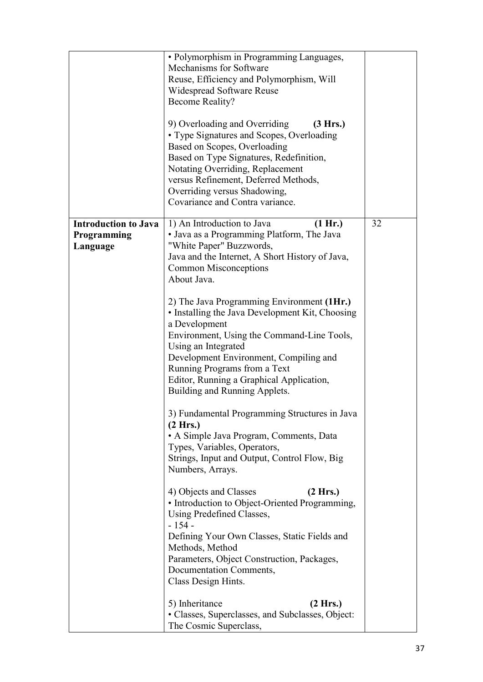|                                                        | · Polymorphism in Programming Languages,<br>Mechanisms for Software<br>Reuse, Efficiency and Polymorphism, Will<br>Widespread Software Reuse<br><b>Become Reality?</b><br>9) Overloading and Overriding<br>(3 Hrs.)<br>• Type Signatures and Scopes, Overloading<br>Based on Scopes, Overloading<br>Based on Type Signatures, Redefinition,<br>Notating Overriding, Replacement<br>versus Refinement, Deferred Methods,<br>Overriding versus Shadowing,<br>Covariance and Contra variance.                                                                                                                                                                                                                                                                                                                                                                                                                                                                  |    |
|--------------------------------------------------------|-------------------------------------------------------------------------------------------------------------------------------------------------------------------------------------------------------------------------------------------------------------------------------------------------------------------------------------------------------------------------------------------------------------------------------------------------------------------------------------------------------------------------------------------------------------------------------------------------------------------------------------------------------------------------------------------------------------------------------------------------------------------------------------------------------------------------------------------------------------------------------------------------------------------------------------------------------------|----|
| <b>Introduction to Java</b><br>Programming<br>Language | 1) An Introduction to Java<br>(1 Hr.)<br>• Java as a Programming Platform, The Java<br>"White Paper" Buzzwords,<br>Java and the Internet, A Short History of Java,<br><b>Common Misconceptions</b><br>About Java.<br>2) The Java Programming Environment (1Hr.)<br>• Installing the Java Development Kit, Choosing<br>a Development<br>Environment, Using the Command-Line Tools,<br>Using an Integrated<br>Development Environment, Compiling and<br>Running Programs from a Text<br>Editor, Running a Graphical Application,<br>Building and Running Applets.<br>3) Fundamental Programming Structures in Java<br>(2 Hrs.)<br>• A Simple Java Program, Comments, Data<br>Types, Variables, Operators,<br>Strings, Input and Output, Control Flow, Big<br>Numbers, Arrays.<br>4) Objects and Classes<br>(2 Hrs.)<br>• Introduction to Object-Oriented Programming,<br>Using Predefined Classes,<br>$-154-$<br>Defining Your Own Classes, Static Fields and | 32 |
|                                                        | Methods, Method<br>Parameters, Object Construction, Packages,<br>Documentation Comments,<br>Class Design Hints.<br>5) Inheritance<br>(2 Hrs.)<br>• Classes, Superclasses, and Subclasses, Object:<br>The Cosmic Superclass,                                                                                                                                                                                                                                                                                                                                                                                                                                                                                                                                                                                                                                                                                                                                 |    |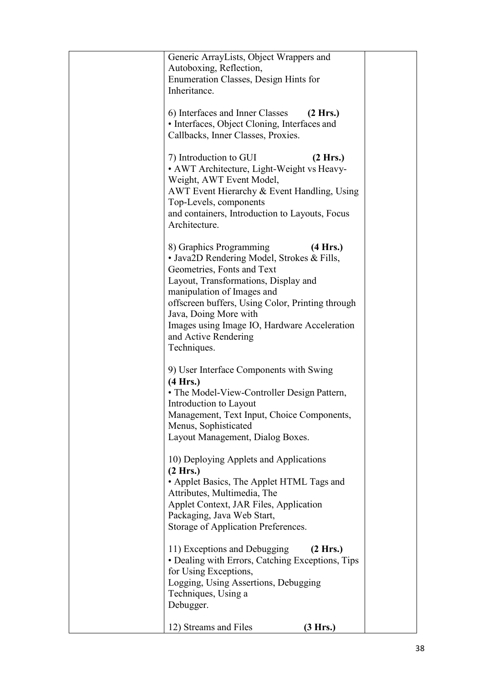| Generic ArrayLists, Object Wrappers and<br>Autoboxing, Reflection,<br>Enumeration Classes, Design Hints for<br>Inheritance.                                                                                                                                                                                                                               |  |
|-----------------------------------------------------------------------------------------------------------------------------------------------------------------------------------------------------------------------------------------------------------------------------------------------------------------------------------------------------------|--|
| 6) Interfaces and Inner Classes<br>(2 Hrs.)<br>• Interfaces, Object Cloning, Interfaces and<br>Callbacks, Inner Classes, Proxies.                                                                                                                                                                                                                         |  |
| 7) Introduction to GUI<br>(2 Hrs.)<br>• AWT Architecture, Light-Weight vs Heavy-<br>Weight, AWT Event Model,<br>AWT Event Hierarchy & Event Handling, Using<br>Top-Levels, components<br>and containers, Introduction to Layouts, Focus<br>Architecture.                                                                                                  |  |
| (4 Hrs.)<br>8) Graphics Programming<br>• Java2D Rendering Model, Strokes & Fills,<br>Geometries, Fonts and Text<br>Layout, Transformations, Display and<br>manipulation of Images and<br>offscreen buffers, Using Color, Printing through<br>Java, Doing More with<br>Images using Image IO, Hardware Acceleration<br>and Active Rendering<br>Techniques. |  |
| 9) User Interface Components with Swing<br>(4 Hrs.)<br>• The Model-View-Controller Design Pattern,<br>Introduction to Layout<br>Management, Text Input, Choice Components,<br>Menus, Sophisticated<br>Layout Management, Dialog Boxes.                                                                                                                    |  |
| 10) Deploying Applets and Applications<br>(2 Hrs.)<br>• Applet Basics, The Applet HTML Tags and<br>Attributes, Multimedia, The<br>Applet Context, JAR Files, Application<br>Packaging, Java Web Start,<br>Storage of Application Preferences.                                                                                                             |  |
| 11) Exceptions and Debugging<br>(2 Hrs.)<br>• Dealing with Errors, Catching Exceptions, Tips<br>for Using Exceptions,<br>Logging, Using Assertions, Debugging<br>Techniques, Using a<br>Debugger.                                                                                                                                                         |  |
| 12) Streams and Files<br>(3 Hrs.)                                                                                                                                                                                                                                                                                                                         |  |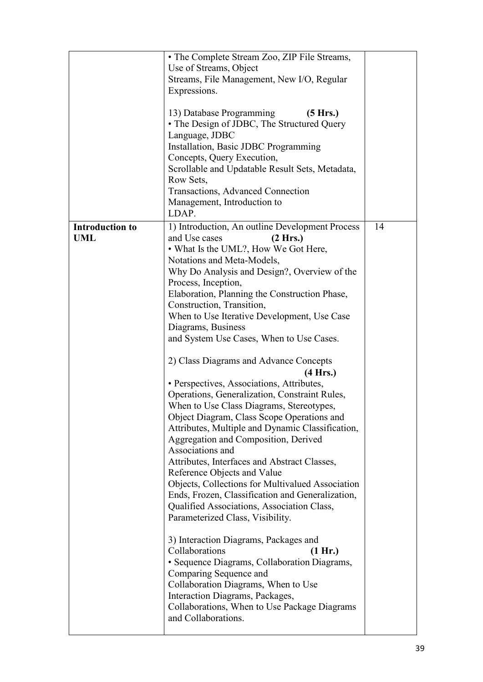|                               | • The Complete Stream Zoo, ZIP File Streams,<br>Use of Streams, Object<br>Streams, File Management, New I/O, Regular<br>Expressions.<br>13) Database Programming<br>(5 Hrs.)<br>• The Design of JDBC, The Structured Query<br>Language, JDBC                                                                                                                                                                                                                                                                                                                                                                                                                                                                                                                                                                                                                                                                                                                                                                                                                                                                                                                                                                                                                                                                                                                     |    |
|-------------------------------|------------------------------------------------------------------------------------------------------------------------------------------------------------------------------------------------------------------------------------------------------------------------------------------------------------------------------------------------------------------------------------------------------------------------------------------------------------------------------------------------------------------------------------------------------------------------------------------------------------------------------------------------------------------------------------------------------------------------------------------------------------------------------------------------------------------------------------------------------------------------------------------------------------------------------------------------------------------------------------------------------------------------------------------------------------------------------------------------------------------------------------------------------------------------------------------------------------------------------------------------------------------------------------------------------------------------------------------------------------------|----|
|                               | Installation, Basic JDBC Programming                                                                                                                                                                                                                                                                                                                                                                                                                                                                                                                                                                                                                                                                                                                                                                                                                                                                                                                                                                                                                                                                                                                                                                                                                                                                                                                             |    |
|                               | Concepts, Query Execution,<br>Scrollable and Updatable Result Sets, Metadata,                                                                                                                                                                                                                                                                                                                                                                                                                                                                                                                                                                                                                                                                                                                                                                                                                                                                                                                                                                                                                                                                                                                                                                                                                                                                                    |    |
|                               | Row Sets,                                                                                                                                                                                                                                                                                                                                                                                                                                                                                                                                                                                                                                                                                                                                                                                                                                                                                                                                                                                                                                                                                                                                                                                                                                                                                                                                                        |    |
|                               | <b>Transactions, Advanced Connection</b>                                                                                                                                                                                                                                                                                                                                                                                                                                                                                                                                                                                                                                                                                                                                                                                                                                                                                                                                                                                                                                                                                                                                                                                                                                                                                                                         |    |
|                               | Management, Introduction to<br>LDAP.                                                                                                                                                                                                                                                                                                                                                                                                                                                                                                                                                                                                                                                                                                                                                                                                                                                                                                                                                                                                                                                                                                                                                                                                                                                                                                                             |    |
| <b>Introduction to</b><br>UML | 1) Introduction, An outline Development Process<br>and Use cases<br>(2 Hrs.)<br>• What Is the UML?, How We Got Here,<br>Notations and Meta-Models,<br>Why Do Analysis and Design?, Overview of the<br>Process, Inception,<br>Elaboration, Planning the Construction Phase,<br>Construction, Transition,<br>When to Use Iterative Development, Use Case<br>Diagrams, Business<br>and System Use Cases, When to Use Cases.<br>2) Class Diagrams and Advance Concepts<br>(4 Hrs.)<br>• Perspectives, Associations, Attributes,<br>Operations, Generalization, Constraint Rules,<br>When to Use Class Diagrams, Stereotypes,<br>Object Diagram, Class Scope Operations and<br>Attributes, Multiple and Dynamic Classification,<br>Aggregation and Composition, Derived<br>Associations and<br>Attributes, Interfaces and Abstract Classes,<br>Reference Objects and Value<br>Objects, Collections for Multivalued Association<br>Ends, Frozen, Classification and Generalization,<br>Qualified Associations, Association Class,<br>Parameterized Class, Visibility.<br>3) Interaction Diagrams, Packages and<br>Collaborations<br>(1 Hr.)<br>· Sequence Diagrams, Collaboration Diagrams,<br>Comparing Sequence and<br>Collaboration Diagrams, When to Use<br>Interaction Diagrams, Packages,<br>Collaborations, When to Use Package Diagrams<br>and Collaborations. | 14 |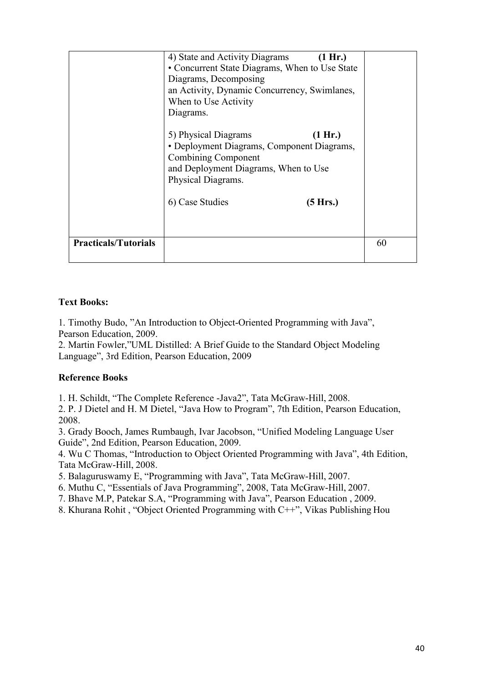|                             | 4) State and Activity Diagrams<br>(1 Hr.)<br>• Concurrent State Diagrams, When to Use State<br>Diagrams, Decomposing<br>an Activity, Dynamic Concurrency, Swimlanes,<br>When to Use Activity<br>Diagrams. |    |
|-----------------------------|-----------------------------------------------------------------------------------------------------------------------------------------------------------------------------------------------------------|----|
|                             | 5) Physical Diagrams<br>(1 Hr.)<br>• Deployment Diagrams, Component Diagrams,<br><b>Combining Component</b><br>and Deployment Diagrams, When to Use<br>Physical Diagrams.                                 |    |
|                             | 6) Case Studies<br>(5 Hrs.)                                                                                                                                                                               |    |
| <b>Practicals/Tutorials</b> |                                                                                                                                                                                                           | 60 |

1. Timothy Budo, "An Introduction to Object-Oriented Programming with Java", Pearson Education, 2009.

2. Martin Fowler,"UML Distilled: A Brief Guide to the Standard Object Modeling Language", 3rd Edition, Pearson Education, 2009

## **Reference Books**

1. H. Schildt, "The Complete Reference -Java2", Tata McGraw-Hill, 2008.

2. P. J Dietel and H. M Dietel, "Java How to Program", 7th Edition, Pearson Education, 2008.

3. Grady Booch, James Rumbaugh, Ivar Jacobson, "Unified Modeling Language User Guide", 2nd Edition, Pearson Education, 2009.

4. Wu C Thomas, "Introduction to Object Oriented Programming with Java", 4th Edition, Tata McGraw-Hill, 2008.

5. Balaguruswamy E, "Programming with Java", Tata McGraw-Hill, 2007.

6. Muthu C, "Essentials of Java Programming", 2008, Tata McGraw-Hill, 2007.

- 7. Bhave M.P, Patekar S.A, "Programming with Java", Pearson Education , 2009.
- 8. Khurana Rohit , "Object Oriented Programming with C++", Vikas Publishing Hou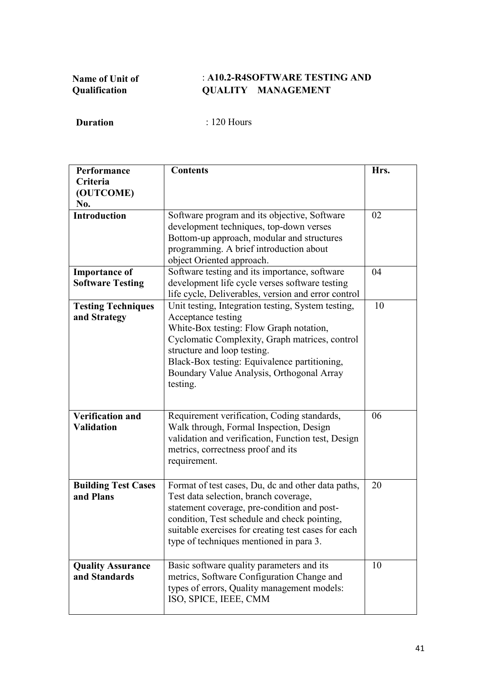## : **A10.2-R4SOFTWARE TESTING AND QUALITY MANAGEMENT**

| Performance<br>Criteria                         | <b>Contents</b>                                                                                                                                                                                                                                                                                               | Hrs. |
|-------------------------------------------------|---------------------------------------------------------------------------------------------------------------------------------------------------------------------------------------------------------------------------------------------------------------------------------------------------------------|------|
| (OUTCOME)<br>No.                                |                                                                                                                                                                                                                                                                                                               |      |
| <b>Introduction</b>                             | Software program and its objective, Software<br>development techniques, top-down verses<br>Bottom-up approach, modular and structures<br>programming. A brief introduction about<br>object Oriented approach.                                                                                                 | 02   |
| <b>Importance of</b><br><b>Software Testing</b> | Software testing and its importance, software<br>development life cycle verses software testing<br>life cycle, Deliverables, version and error control                                                                                                                                                        | 04   |
| <b>Testing Techniques</b><br>and Strategy       | Unit testing, Integration testing, System testing,<br>Acceptance testing<br>White-Box testing: Flow Graph notation,<br>Cyclomatic Complexity, Graph matrices, control<br>structure and loop testing.<br>Black-Box testing: Equivalence partitioning,<br>Boundary Value Analysis, Orthogonal Array<br>testing. | 10   |
| <b>Verification and</b><br><b>Validation</b>    | Requirement verification, Coding standards,<br>Walk through, Formal Inspection, Design<br>validation and verification, Function test, Design<br>metrics, correctness proof and its<br>requirement.                                                                                                            | 06   |
| <b>Building Test Cases</b><br>and Plans         | Format of test cases, Du, dc and other data paths,<br>Test data selection, branch coverage,<br>statement coverage, pre-condition and post-<br>condition, Test schedule and check pointing,<br>suitable exercises for creating test cases for each<br>type of techniques mentioned in para 3.                  | 20   |
| <b>Quality Assurance</b><br>and Standards       | Basic software quality parameters and its<br>metrics, Software Configuration Change and<br>types of errors, Quality management models:<br>ISO, SPICE, IEEE, CMM                                                                                                                                               | 10   |